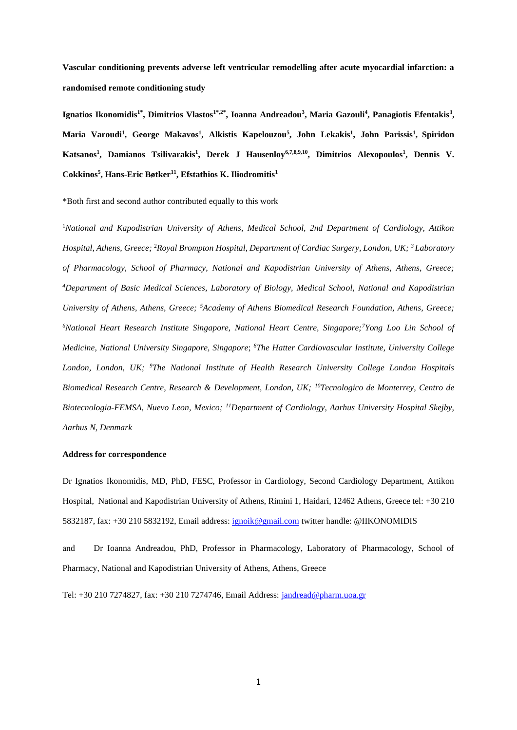**Vascular conditioning prevents adverse left ventricular remodelling after acute myocardial infarction: a randomised remote conditioning study**

**Ignatios Ikonomidis1\*, Dimitrios Vlastos1\*,2\*, Ioanna Andreadou<sup>3</sup> , Maria Gazouli<sup>4</sup> , Panagiotis Efentakis<sup>3</sup> , Maria Varoudi<sup>1</sup> , George Makavos<sup>1</sup> , Alkistis Kapelouzou<sup>5</sup> , John Lekakis<sup>1</sup> , John Parissis<sup>1</sup> , Spiridon Katsanos<sup>1</sup> , Damianos Tsilivarakis<sup>1</sup> , Derek J Hausenloy6,7,8,9,10, Dimitrios Alexopoulos<sup>1</sup> , Dennis V. Cokkinos<sup>5</sup> , Hans-Eric Bøtker<sup>11</sup>, Efstathios K. Iliodromitis<sup>1</sup>**

\*Both first and second author contributed equally to this work

<sup>1</sup>*National and Kapodistrian University of Athens, Medical School, 2nd Department of Cardiology, Attikon Hospital, Athens, Greece;* <sup>2</sup>*Royal Brompton Hospital, Department of Cardiac Surgery, London, UK; <sup>3</sup>Laboratory of Pharmacology, School of Pharmacy, National and Kapodistrian University of Athens, Athens, Greece; <sup>4</sup>Department of Basic Medical Sciences, Laboratory of Biology, Medical School, National and Kapodistrian University of Athens, Athens, Greece; <sup>5</sup>Academy of Athens Biomedical Research Foundation, Athens, Greece; <sup>6</sup>National Heart Research Institute Singapore, National Heart Centre, Singapore;<sup>7</sup>Yong Loo Lin School of Medicine, National University Singapore, Singapore*; *<sup>8</sup>The Hatter Cardiovascular Institute, University College London, London, UK; <sup>9</sup>The National Institute of Health Research University College London Hospitals Biomedical Research Centre, Research & Development, London, UK; <sup>10</sup>Tecnologico de Monterrey, Centro de Biotecnologia-FEMSA, Nuevo Leon, Mexico; <sup>11</sup>Department of Cardiology, Aarhus University Hospital Skejby, Aarhus N, Denmark*

#### **Address for correspondence**

Dr Ignatios Ikonomidis, MD, PhD, FESC, Professor in Cardiology, Second Cardiology Department, Attikon Hospital, National and Kapodistrian University of Athens, Rimini 1, Haidari, 12462 Athens, Greece tel: +30 210 5832187, fax: +30 210 5832192, Email address: [ignoik@gmail.com](mailto:ignoik@gmail.com) twitter handle: @IIKONOMIDIS

and Dr Ioanna Andreadou, PhD, Professor in Pharmacology, Laboratory of Pharmacology, School of Pharmacy, National and Kapodistrian University of Athens, Athens, Greece

Tel: +30 210 7274827, fax: +30 210 7274746, Email Address: [jandread@pharm.uoa.gr](mailto:jandread@pharm.uoa.gr)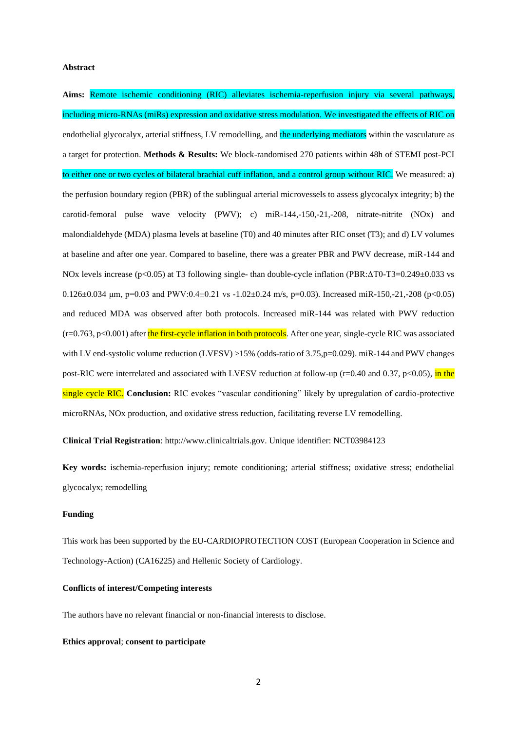#### **Abstract**

**Aims:** Remote ischemic conditioning (RIC) alleviates ischemia-reperfusion injury via several pathways, including micro-RNAs (miRs) expression and oxidative stress modulation. We investigated the effects of RIC on endothelial glycocalyx, arterial stiffness, LV remodelling, and the underlying mediators within the vasculature as a target for protection. **Methods & Results:** We block-randomised 270 patients within 48h of STEMI post-PCI to either one or two cycles of bilateral brachial cuff inflation, and a control group without RIC. We measured: a) the perfusion boundary region (PBR) of the sublingual arterial microvessels to assess glycocalyx integrity; b) the carotid-femoral pulse wave velocity (PWV); c) miR-144,-150,-21,-208, nitrate-nitrite (NOx) and malondialdehyde (MDA) plasma levels at baseline (T0) and 40 minutes after RIC onset (T3); and d) LV volumes at baseline and after one year. Compared to baseline, there was a greater PBR and PWV decrease, miR-144 and NOx levels increase (p<0.05) at T3 following single- than double-cycle inflation (PBR:ΔT0-T3=0.249±0.033 vs  $0.126 \pm 0.034$  μm, p=0.03 and PWV:0.4 $\pm 0.21$  vs  $-1.02 \pm 0.24$  m/s, p=0.03). Increased miR-150,-21,-208 (p<0.05) and reduced MDA was observed after both protocols. Increased miR-144 was related with PWV reduction (r=0.763, p<0.001) after the first-cycle inflation in both protocols. After one year, single-cycle RIC was associated with LV end-systolic volume reduction (LVESV) >15% (odds-ratio of 3.75,p=0.029). miR-144 and PWV changes post-RIC were interrelated and associated with LVESV reduction at follow-up ( $r=0.40$  and 0.37,  $p<0.05$ ), in the single cycle RIC. **Conclusion:** RIC evokes "vascular conditioning" likely by upregulation of cardio-protective microRNAs, NOx production, and oxidative stress reduction, facilitating reverse LV remodelling.

**Clinical Trial Registration**: http://www.clinicaltrials.gov. Unique identifier: NCT03984123

**Key words:** ischemia-reperfusion injury; remote conditioning; arterial stiffness; oxidative stress; endothelial glycocalyx; remodelling

### **Funding**

This work has been supported by the EU-CARDIOPROTECTION COST (European Cooperation in Science and Technology-Action) (CA16225) and Hellenic Society of Cardiology.

## **Conflicts of interest/Competing interests**

The authors have no relevant financial or non-financial interests to disclose.

#### **Ethics approval**; **consent to participate**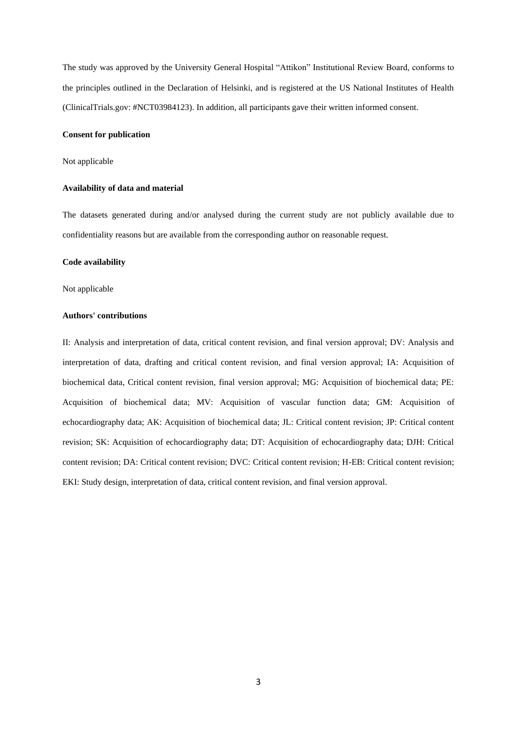The study was approved by the University General Hospital "Attikon" Institutional Review Board, conforms to the principles outlined in the Declaration of Helsinki, and is registered at the US National Institutes of Health (ClinicalTrials.gov: #NCT03984123). In addition, all participants gave their written informed consent.

## **Consent for publication**

## Not applicable

### **Availability of data and material**

The datasets generated during and/or analysed during the current study are not publicly available due to confidentiality reasons but are available from the corresponding author on reasonable request.

## **Code availability**

#### Not applicable

#### **Authors' contributions**

II: Analysis and interpretation of data, critical content revision, and final version approval; DV: Analysis and interpretation of data, drafting and critical content revision, and final version approval; IA: Acquisition of biochemical data, Critical content revision, final version approval; MG: Acquisition of biochemical data; PE: Acquisition of biochemical data; MV: Acquisition of vascular function data; GM: Acquisition of echocardiography data; AK: Acquisition of biochemical data; JL: Critical content revision; JP: Critical content revision; SK: Acquisition of echocardiography data; DT: Acquisition of echocardiography data; DJH: Critical content revision; DA: Critical content revision; DVC: Critical content revision; H-EB: Critical content revision; EKI: Study design, interpretation of data, critical content revision, and final version approval.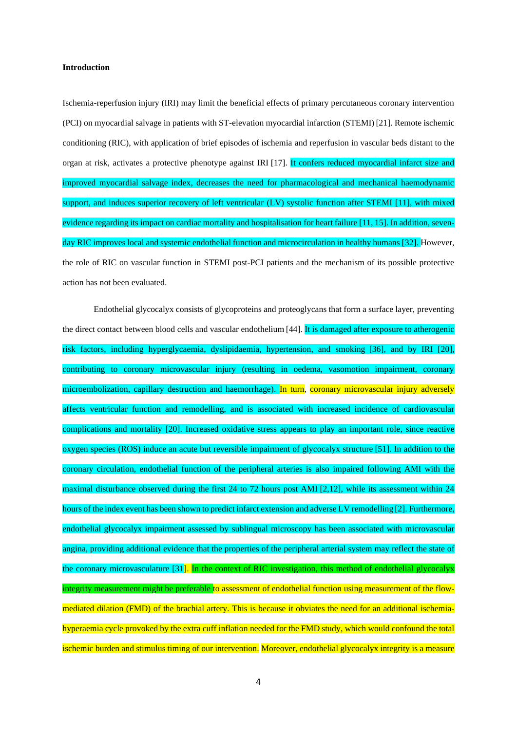#### **Introduction**

Ischemia-reperfusion injury (IRI) may limit the beneficial effects of primary percutaneous coronary intervention (PCI) on myocardial salvage in patients with ST-elevation myocardial infarction (STEMI) [21]. Remote ischemic conditioning (RIC), with application of brief episodes of ischemia and reperfusion in vascular beds distant to the organ at risk, activates a protective phenotype against IRI [17]. It confers reduced myocardial infarct size and improved myocardial salvage index, decreases the need for pharmacological and mechanical haemodynamic support, and induces superior recovery of left ventricular (LV) systolic function after STEMI [11], with mixed evidence regarding its impact on cardiac mortality and hospitalisation for heart failure [11, 15]. In addition, sevenday RIC improves local and systemic endothelial function and microcirculation in healthy humans [32]. However, the role of RIC on vascular function in STEMI post-PCI patients and the mechanism of its possible protective action has not been evaluated.

Endothelial glycocalyx consists of glycoproteins and proteoglycans that form a surface layer, preventing the direct contact between blood cells and vascular endothelium [44]. It is damaged after exposure to atherogenic risk factors, including hyperglycaemia, dyslipidaemia, hypertension, and smoking [36], and by IRI [20], contributing to coronary microvascular injury (resulting in oedema, vasomotion impairment, coronary microembolization, capillary destruction and haemorrhage). In turn, coronary microvascular injury adversely affects ventricular function and remodelling, and is associated with increased incidence of cardiovascular complications and mortality [20]. Increased oxidative stress appears to play an important role, since reactive oxygen species (ROS) induce an acute but reversible impairment of glycocalyx structure [51]. In addition to the coronary circulation, endothelial function of the peripheral arteries is also impaired following AMI with the maximal disturbance observed during the first 24 to 72 hours post AMI [2,12], while its assessment within 24 hours of the index event has been shown to predict infarct extension and adverse LV remodelling [2]. Furthermore, endothelial glycocalyx impairment assessed by sublingual microscopy has been associated with microvascular angina, providing additional evidence that the properties of the peripheral arterial system may reflect the state of the coronary microvasculature [31]. In the context of RIC investigation, this method of endothelial glycocalyx integrity measurement might be preferable to assessment of endothelial function using measurement of the flowmediated dilation (FMD) of the brachial artery. This is because it obviates the need for an additional ischemiahyperaemia cycle provoked by the extra cuff inflation needed for the FMD study, which would confound the total ischemic burden and stimulus timing of our intervention. Moreover, endothelial glycocalyx integrity is a measure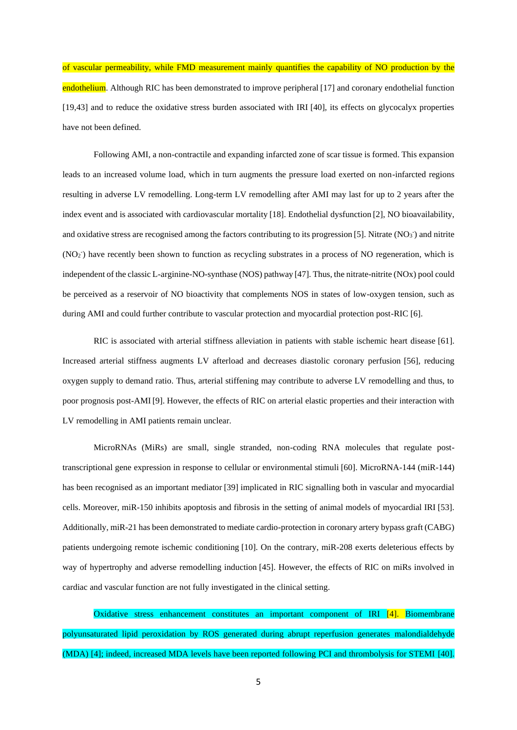of vascular permeability, while FMD measurement mainly quantifies the capability of NO production by the endothelium. Although RIC has been demonstrated to improve peripheral [17] and coronary endothelial function [19,43] and to reduce the oxidative stress burden associated with IRI [40], its effects on glycocalyx properties have not been defined.

Following AMI, a non-contractile and expanding infarcted zone of scar tissue is formed. This expansion leads to an increased volume load, which in turn augments the pressure load exerted on non-infarcted regions resulting in adverse LV remodelling. Long-term LV remodelling after AMI may last for up to 2 years after the index event and is associated with cardiovascular mortality [18]. Endothelial dysfunction [2], NO bioavailability, and oxidative stress are recognised among the factors contributing to its progression [5]. Nitrate (NO<sub>3</sub>) and nitrite  $(NO<sub>2</sub>)$  have recently been shown to function as recycling substrates in a process of NO regeneration, which is independent of the classic L-arginine-NO-synthase (NOS) pathway [47]. Thus, the nitrate-nitrite (NOx) pool could be perceived as a reservoir of NO bioactivity that complements NOS in states of low-oxygen tension, such as during AMI and could further contribute to vascular protection and myocardial protection post-RIC [6].

RIC is associated with arterial stiffness alleviation in patients with stable ischemic heart disease [61]. Increased arterial stiffness augments LV afterload and decreases diastolic coronary perfusion [56], reducing oxygen supply to demand ratio. Thus, arterial stiffening may contribute to adverse LV remodelling and thus, to poor prognosis post-AMI [9]. However, the effects of RIC on arterial elastic properties and their interaction with LV remodelling in AMI patients remain unclear.

MicroRNAs (MiRs) are small, single stranded, non-coding RNA molecules that regulate posttranscriptional gene expression in response to cellular or environmental stimuli [60]. MicroRNA-144 (miR-144) has been recognised as an important mediator [39] implicated in RIC signalling both in vascular and myocardial cells. Moreover, miR-150 inhibits apoptosis and fibrosis in the setting of animal models of myocardial IRI [53]. Additionally, miR-21 has been demonstrated to mediate cardio-protection in coronary artery bypass graft (CABG) patients undergoing remote ischemic conditioning [10]. On the contrary, miR-208 exerts deleterious effects by way of hypertrophy and adverse remodelling induction [45]. However, the effects of RIC on miRs involved in cardiac and vascular function are not fully investigated in the clinical setting.

Oxidative stress enhancement constitutes an important component of IRI [4]. Biomembrane polyunsaturated lipid peroxidation by ROS generated during abrupt reperfusion generates malondialdehyde (MDA) [4]; indeed, increased MDA levels have been reported following PCI and thrombolysis for STEMI [40].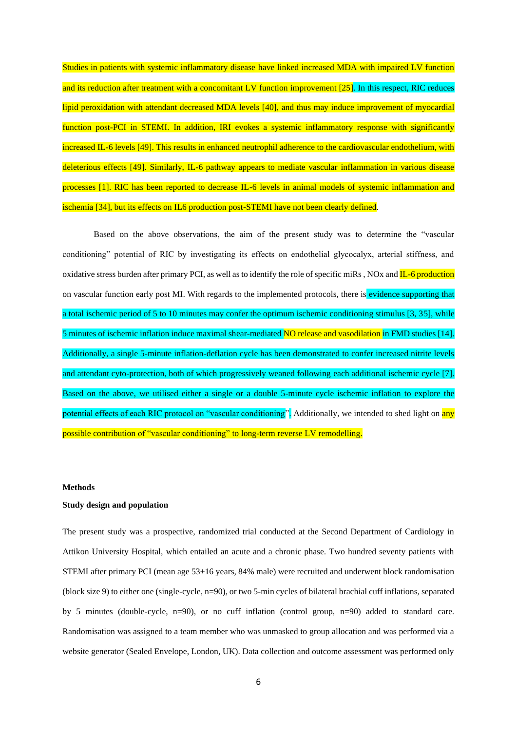Studies in patients with systemic inflammatory disease have linked increased MDA with impaired LV function and its reduction after treatment with a concomitant LV function improvement [25]. In this respect, RIC reduces lipid peroxidation with attendant decreased MDA levels [40], and thus may induce improvement of myocardial function post-PCI in STEMI. In addition, IRI evokes a systemic inflammatory response with significantly increased IL-6 levels [49]. This results in enhanced neutrophil adherence to the cardiovascular endothelium, with deleterious effects [49]. Similarly, IL-6 pathway appears to mediate vascular inflammation in various disease processes [1]. RIC has been reported to decrease IL-6 levels in animal models of systemic inflammation and ischemia [34], but its effects on IL6 production post-STEMI have not been clearly defined.

Based on the above observations, the aim of the present study was to determine the "vascular conditioning" potential of RIC by investigating its effects on endothelial glycocalyx, arterial stiffness, and oxidative stress burden after primary PCI, as well as to identify the role of specific miRs , NOx and IL-6 production on vascular function early post MI. With regards to the implemented protocols, there is evidence supporting that a total ischemic period of 5 to 10 minutes may confer the optimum ischemic conditioning stimulus [3, 35], while 5 minutes of ischemic inflation induce maximal shear-mediated NO release and vasodilation in FMD studies [14]. Additionally, a single 5-minute inflation-deflation cycle has been demonstrated to confer increased nitrite levels and attendant cyto-protection, both of which progressively weaned following each additional ischemic cycle [7]. Based on the above, we utilised either a single or a double 5-minute cycle ischemic inflation to explore the potential effects of each RIC protocol on "vascular conditioning". Additionally, we intended to shed light on any possible contribution of "vascular conditioning" to long-term reverse LV remodelling.

## **Methods**

#### **Study design and population**

The present study was a prospective, randomized trial conducted at the Second Department of Cardiology in Attikon University Hospital, which entailed an acute and a chronic phase. Two hundred seventy patients with STEMI after primary PCI (mean age 53±16 years, 84% male) were recruited and underwent block randomisation (block size 9) to either one (single-cycle, n=90), or two 5-min cycles of bilateral brachial cuff inflations, separated by 5 minutes (double-cycle, n=90), or no cuff inflation (control group, n=90) added to standard care. Randomisation was assigned to a team member who was unmasked to group allocation and was performed via a website generator (Sealed Envelope, London, UK). Data collection and outcome assessment was performed only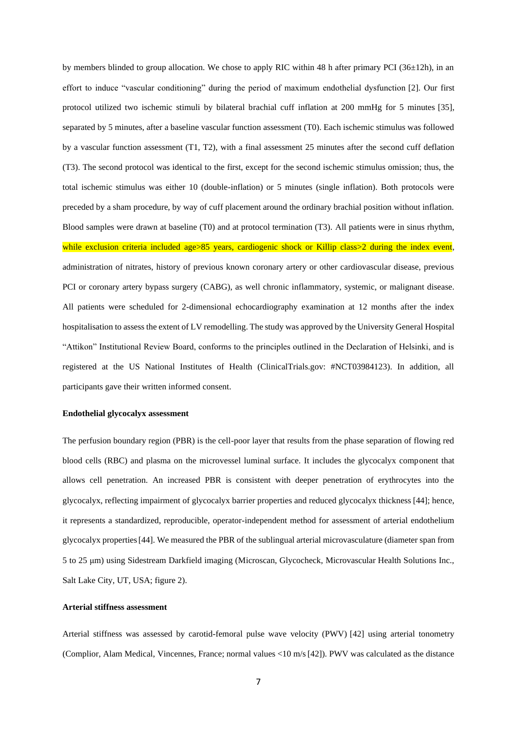by members blinded to group allocation. We chose to apply RIC within 48 h after primary PCI (36 $\pm$ 12h), in an effort to induce "vascular conditioning" during the period of maximum endothelial dysfunction [2]. Οur first protocol utilized two ischemic stimuli by bilateral brachial cuff inflation at 200 mmHg for 5 minutes [35], separated by 5 minutes, after a baseline vascular function assessment (T0). Each ischemic stimulus was followed by a vascular function assessment (T1, T2), with a final assessment 25 minutes after the second cuff deflation (T3). The second protocol was identical to the first, except for the second ischemic stimulus omission; thus, the total ischemic stimulus was either 10 (double-inflation) or 5 minutes (single inflation). Both protocols were preceded by a sham procedure, by way of cuff placement around the ordinary brachial position without inflation. Blood samples were drawn at baseline (T0) and at protocol termination (T3). Αll patients were in sinus rhythm, while exclusion criteria included age>85 years, cardiogenic shock or Killip class>2 during the index event, administration of nitrates, history of previous known coronary artery or other cardiovascular disease, previous PCI or coronary artery bypass surgery (CABG), as well chronic inflammatory, systemic, or malignant disease. All patients were scheduled for 2-dimensional echocardiography examination at 12 months after the index hospitalisation to assess the extent of LV remodelling. The study was approved by the University General Hospital "Attikon" Institutional Review Board, conforms to the principles outlined in the Declaration of Helsinki, and is registered at the US National Institutes of Health (ClinicalTrials.gov: #NCT03984123). In addition, all participants gave their written informed consent.

## **Endothelial glycocalyx assessment**

The perfusion boundary region (PBR) is the cell-poor layer that results from the phase separation of flowing red blood cells (RBC) and plasma on the microvessel luminal surface. It includes the glycocalyx component that allows cell penetration. An increased PBR is consistent with deeper penetration of erythrocytes into the glycocalyx, reflecting impairment of glycocalyx barrier properties and reduced glycocalyx thickness [44]; hence, it represents a standardized, reproducible, operator-independent method for assessment of arterial endothelium glycocalyx properties[44]. We measured the PBR of the sublingual arterial microvasculature (diameter span from 5 to 25 μm) using Sidestream Darkfield imaging (Microscan, Glycocheck, Microvascular Health Solutions Inc., Salt Lake City, UT, USA; figure 2).

## **Arterial stiffness assessment**

Arterial stiffness was assessed by carotid-femoral pulse wave velocity (PWV) [42] using arterial tonometry (Complior, Alam Medical, Vincennes, France; normal values <10 m/s[42]). PWV was calculated as the distance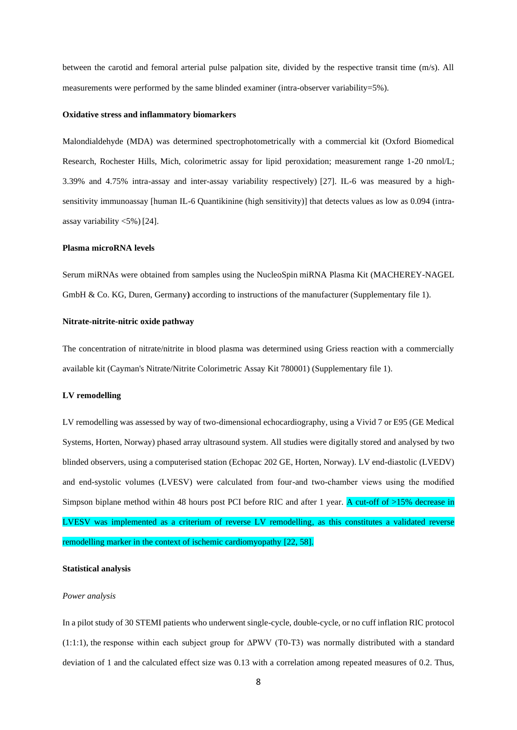between the carotid and femoral arterial pulse palpation site, divided by the respective transit time (m/s). All measurements were performed by the same blinded examiner (intra-observer variability=5%).

#### **Oxidative stress and inflammatory biomarkers**

Malondialdehyde (MDA) was determined spectrophotometrically with a commercial kit (Oxford Biomedical Research, Rochester Hills, Mich, colorimetric assay for lipid peroxidation; measurement range 1-20 nmol/L; 3.39% and 4.75% intra-assay and inter-assay variability respectively) [27]. IL-6 was measured by a highsensitivity immunoassay [human IL-6 Quantikinine (high sensitivity)] that detects values as low as 0.094 (intraassay variability <5%) [24].

#### **Plasma microRNA levels**

Serum miRNAs were obtained from samples using the NucleoSpin miRNA Plasma Kit (MACHEREY-NAGEL GmbH & Co. KG, Duren, Germany**)** according to instructions of the manufacturer (Supplementary file 1).

## **Nitrate-nitrite-nitric oxide pathway**

The concentration of nitrate/nitrite in blood plasma was determined using Griess reaction with a commercially available kit (Cayman's Nitrate/Nitrite Colorimetric Assay Kit 780001) (Supplementary file 1).

#### **LV remodelling**

LV remodelling was assessed by way of two-dimensional echocardiography, using a Vivid 7 or E95 (GE Medical Systems, Horten, Norway) phased array ultrasound system. All studies were digitally stored and analysed by two blinded observers, using a computerised station (Echopac 202 GE, Horten, Norway). LV end-diastolic (LVEDV) and end-systolic volumes (LVESV) were calculated from four-and two-chamber views using the modified Simpson biplane method within 48 hours post PCI before RIC and after 1 year. A cut-off of >15% decrease in LVESV was implemented as a criterium of reverse LV remodelling, as this constitutes a validated reverse remodelling marker in the context of ischemic cardiomyopathy [22, 58].

#### **Statistical analysis**

#### *Power analysis*

In a pilot study of 30 STEMI patients who underwent single-cycle, double-cycle, or no cuff inflation RIC protocol (1:1:1), the response within each subject group for ΔPWV (Τ0-Τ3) was normally distributed with a standard deviation of 1 and the calculated effect size was 0.13 with a correlation among repeated measures of 0.2. Thus,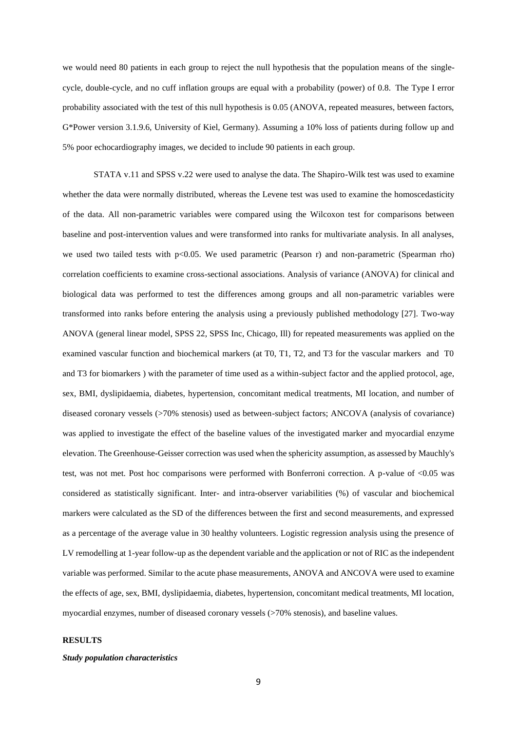we would need 80 patients in each group to reject the null hypothesis that the population means of the singlecycle, double-cycle, and no cuff inflation groups are equal with a probability (power) of 0.8. The Type I error probability associated with the test of this null hypothesis is 0.05 (ANOVA, repeated measures, between factors, G\*Power version 3.1.9.6, University of Kiel, Germany). Assuming a 10% loss of patients during follow up and 5% poor echocardiography images, we decided to include 90 patients in each group.

STATA v.11 and SPSS v.22 were used to analyse the data. The Shapiro-Wilk test was used to examine whether the data were normally distributed, whereas the Levene test was used to examine the homoscedasticity of the data. All non-parametric variables were compared using the Wilcoxon test for comparisons between baseline and post-intervention values and were transformed into ranks for multivariate analysis. In all analyses, we used two tailed tests with  $p<0.05$ . We used parametric (Pearson r) and non-parametric (Spearman rho) correlation coefficients to examine cross-sectional associations. Analysis of variance (ANOVA) for clinical and biological data was performed to test the differences among groups and all non-parametric variables were transformed into ranks before entering the analysis using a previously published methodology [27]. Two-way ANOVA (general linear model, SPSS 22, SPSS Inc, Chicago, Ill) for repeated measurements was applied on the examined vascular function and biochemical markers (at T0, T1, T2, and T3 for the vascular markers and T0 and T3 for biomarkers ) with the parameter of time used as a within-subject factor and the applied protocol, age, sex, BMI, dyslipidaemia, diabetes, hypertension, concomitant medical treatments, MI location, and number of diseased coronary vessels (>70% stenosis) used as between-subject factors; ANCOVA (analysis of covariance) was applied to investigate the effect of the baseline values of the investigated marker and myocardial enzyme elevation. The Greenhouse-Geisser correction was used when the sphericity assumption, as assessed by Mauchly's test, was not met. Post hoc comparisons were performed with Bonferroni correction. A p-value of <0.05 was considered as statistically significant. Inter- and intra-observer variabilities (%) of vascular and biochemical markers were calculated as the SD of the differences between the first and second measurements, and expressed as a percentage of the average value in 30 healthy volunteers. Logistic regression analysis using the presence of LV remodelling at 1-year follow-up as the dependent variable and the application or not of RIC as the independent variable was performed. Similar to the acute phase measurements, ANOVA and ANCOVA were used to examine the effects of age, sex, BMI, dyslipidaemia, diabetes, hypertension, concomitant medical treatments, MI location, myocardial enzymes, number of diseased coronary vessels (>70% stenosis), and baseline values.

## **RESULTS**

### *Study population characteristics*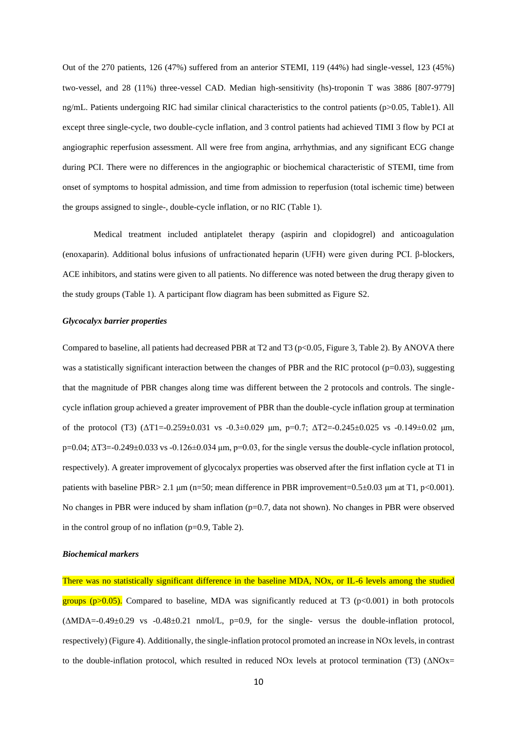Out of the 270 patients, 126 (47%) suffered from an anterior STEMI, 119 (44%) had single-vessel, 123 (45%) two-vessel, and 28 (11%) three-vessel CAD. Median high-sensitivity (hs)-troponin T was 3886 [807-9779] ng/mL. Patients undergoing RIC had similar clinical characteristics to the control patients (p>0.05, Table1). All except three single-cycle, two double-cycle inflation, and 3 control patients had achieved TIMI 3 flow by PCI at angiographic reperfusion assessment. All were free from angina, arrhythmias, and any significant ECG change during PCI. There were no differences in the angiographic or biochemical characteristic of STEMI, time from onset of symptoms to hospital admission, and time from admission to reperfusion (total ischemic time) between the groups assigned to single-, double-cycle inflation, or no RIC (Table 1).

Medical treatment included antiplatelet therapy (aspirin and clopidogrel) and anticoagulation (enoxaparin). Additional bolus infusions of unfractionated heparin (UFH) were given during PCI. β-blockers, ACE inhibitors, and statins were given to all patients. No difference was noted between the drug therapy given to the study groups (Table 1). A participant flow diagram has been submitted as Figure S2.

#### *Glycocalyx barrier properties*

Compared to baseline, all patients had decreased PBR at T2 and T3 ( $p<0.05$ , Figure 3, Table 2). By ANOVA there was a statistically significant interaction between the changes of PBR and the RIC protocol ( $p=0.03$ ), suggesting that the magnitude of PBR changes along time was different between the 2 protocols and controls. The singlecycle inflation group achieved a greater improvement of PBR than the double-cycle inflation group at termination of the protocol (T3) ( $ΔT1=-0.259±0.031$  vs  $-0.3±0.029$  μm,  $p=0.7$ ;  $ΔT2=-0.245±0.025$  vs  $-0.149±0.02$  μm,  $p=0.04$ ;  $\Delta$ T3=-0.249±0.033 vs -0.126±0.034 μm,  $p=0.03$ , for the single versus the double-cycle inflation protocol, respectively). A greater improvement of glycocalyx properties was observed after the first inflation cycle at T1 in patients with baseline PBR $> 2.1 \mu m$  (n=50; mean difference in PBR improvement=0.5 $\pm$ 0.03  $\mu$ m at T1, p<0.001). No changes in PBR were induced by sham inflation (p=0.7, data not shown). No changes in PBR were observed in the control group of no inflation  $(p=0.9,$  Table 2).

#### *Biochemical markers*

There was no statistically significant difference in the baseline MDA, NOx, or IL-6 levels among the studied groups  $(p>0.05)$ . Compared to baseline, MDA was significantly reduced at T3 ( $p<0.001$ ) in both protocols (ΔMDA=-0.49±0.29 vs -0.48±0.21 nmol/L, p=0.9, for the single- versus the double-inflation protocol, respectively) (Figure 4). Additionally, the single-inflation protocol promoted an increase in NOx levels, in contrast to the double-inflation protocol, which resulted in reduced NOx levels at protocol termination (T3) (ΔNOx=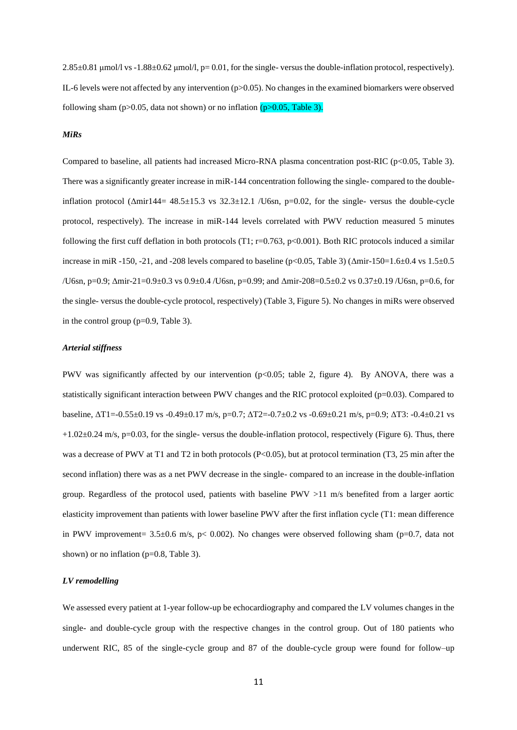2.85±0.81 μmol/l vs -1.88±0.62 μmol/l, p= 0.01, for the single- versus the double-inflation protocol, respectively). IL-6 levels were not affected by any intervention ( $p>0.05$ ). No changes in the examined biomarkers were observed following sham (p>0.05, data not shown) or no inflation  $(p>0.05, Table 3)$ .

#### *MiRs*

Compared to baseline, all patients had increased Micro-RNA plasma concentration post-RIC (p<0.05, Table 3). There was a significantly greater increase in miR-144 concentration following the single- compared to the doubleinflation protocol ( $\Delta$ mir144= 48.5±15.3 vs 32.3±12.1 /U6sn, p=0.02, for the single- versus the double-cycle protocol, respectively). The increase in miR-144 levels correlated with PWV reduction measured 5 minutes following the first cuff deflation in both protocols (T1; r=0.763, p<0.001). Both RIC protocols induced a similar increase in miR -150, -21, and -208 levels compared to baseline ( $p<0.05$ , Table 3) ( $\Delta$ mir-150=1.6±0.4 vs 1.5±0.5 /U6sn, p=0.9; Δmir-21=0.9±0.3 vs 0.9±0.4 /U6sn, p=0.99; and Δmir-208=0.5±0.2 vs 0.37±0.19 /U6sn, p=0.6, for the single- versus the double-cycle protocol, respectively) (Table 3, Figure 5). No changes in miRs were observed in the control group (p=0.9, Table 3).

### *Arterial stiffness*

PWV was significantly affected by our intervention (p<0.05; table 2, figure 4). By ANOVA, there was a statistically significant interaction between PWV changes and the RIC protocol exploited (p=0.03). Compared to baseline, ΔT1=-0.55±0.19 vs -0.49±0.17 m/s, p=0.7; ΔT2=-0.7±0.2 vs -0.69±0.21 m/s, p=0.9; ΔT3: -0.4±0.21 vs  $+1.02\pm0.24$  m/s, p=0.03, for the single- versus the double-inflation protocol, respectively (Figure 6). Thus, there was a decrease of PWV at T1 and T2 in both protocols (P<0.05), but at protocol termination (T3, 25 min after the second inflation) there was as a net PWV decrease in the single- compared to an increase in the double-inflation group. Regardless of the protocol used, patients with baseline PWV >11 m/s benefited from a larger aortic elasticity improvement than patients with lower baseline PWV after the first inflation cycle (T1: mean difference in PWV improvement=  $3.5\pm0.6$  m/s, p< 0.002). No changes were observed following sham (p=0.7, data not shown) or no inflation (p=0.8, Table 3).

#### *LV remodelling*

We assessed every patient at 1-year follow-up be echocardiography and compared the LV volumes changes in the single- and double-cycle group with the respective changes in the control group. Out of 180 patients who underwent RIC, 85 of the single-cycle group and 87 of the double-cycle group were found for follow–up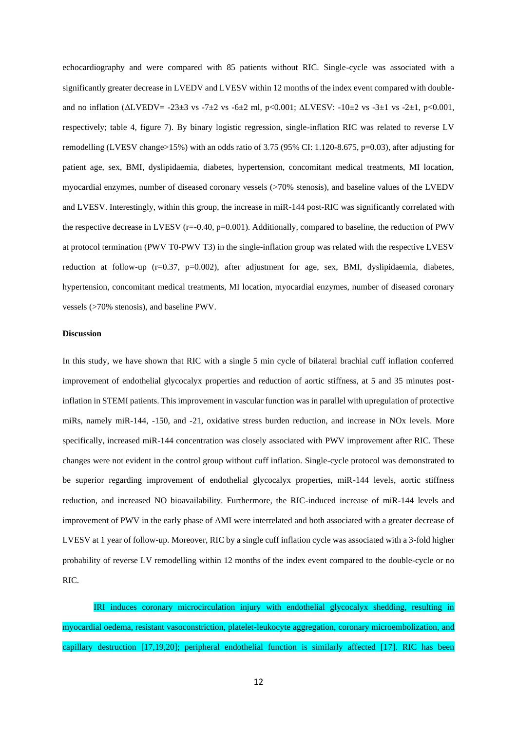echocardiography and were compared with 85 patients without RIC. Single-cycle was associated with a significantly greater decrease in LVEDV and LVESV within 12 months of the index event compared with doubleand no inflation (ΔLVEDV= -23±3 vs -7±2 vs -6±2 ml, p<0.001; ΔLVESV: -10±2 vs -3±1 vs -2±1, p<0.001, respectively; table 4, figure 7). By binary logistic regression, single-inflation RIC was related to reverse LV remodelling (LVESV change>15%) with an odds ratio of 3.75 (95% CI: 1.120-8.675, p=0.03), after adjusting for patient age, sex, BMI, dyslipidaemia, diabetes, hypertension, concomitant medical treatments, MI location, myocardial enzymes, number of diseased coronary vessels (>70% stenosis), and baseline values of the LVEDV and LVESV. Interestingly, within this group, the increase in miR-144 post-RIC was significantly correlated with the respective decrease in LVESV (r=-0.40, p=0.001). Additionally, compared to baseline, the reduction of PWV at protocol termination (PWV T0-PWV T3) in the single-inflation group was related with the respective LVESV reduction at follow-up (r=0.37, p=0.002), after adjustment for age, sex, BMI, dyslipidaemia, diabetes, hypertension, concomitant medical treatments, MI location, myocardial enzymes, number of diseased coronary vessels (>70% stenosis), and baseline PWV.

#### **Discussion**

In this study, we have shown that RIC with a single 5 min cycle of bilateral brachial cuff inflation conferred improvement of endothelial glycocalyx properties and reduction of aortic stiffness, at 5 and 35 minutes postinflation in STEMI patients. This improvement in vascular function was in parallel with upregulation of protective miRs, namely miR-144, -150, and -21, oxidative stress burden reduction, and increase in NOx levels. More specifically, increased miR-144 concentration was closely associated with PWV improvement after RIC. These changes were not evident in the control group without cuff inflation. Single-cycle protocol was demonstrated to be superior regarding improvement of endothelial glycocalyx properties, miR-144 levels, aortic stiffness reduction, and increased NO bioavailability. Furthermore, the RIC-induced increase of miR-144 levels and improvement of PWV in the early phase of AMI were interrelated and both associated with a greater decrease of LVESV at 1 year of follow-up. Moreover, RIC by a single cuff inflation cycle was associated with a 3-fold higher probability of reverse LV remodelling within 12 months of the index event compared to the double-cycle or no RIC.

IRI induces coronary microcirculation injury with endothelial glycocalyx shedding, resulting in myocardial oedema, resistant vasoconstriction, platelet-leukocyte aggregation, coronary microembolization, and capillary destruction [17,19,20]; peripheral endothelial function is similarly affected [17]. RIC has been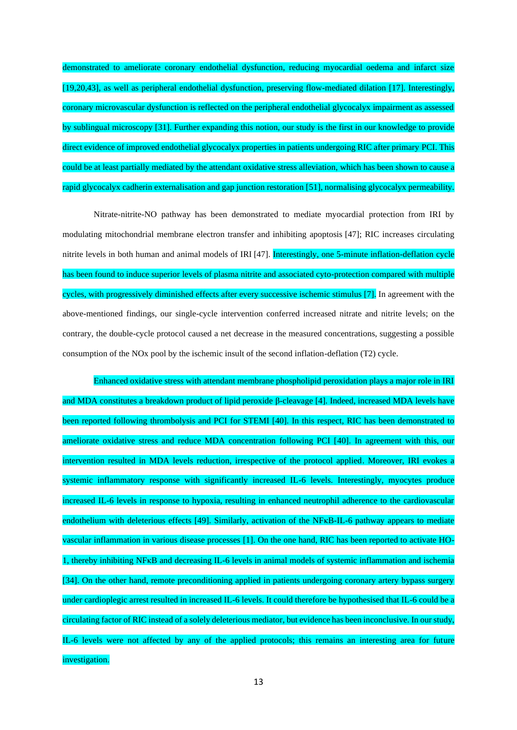demonstrated to ameliorate coronary endothelial dysfunction, reducing myocardial oedema and infarct size [19,20,43], as well as peripheral endothelial dysfunction, preserving flow-mediated dilation [17]. Interestingly, coronary microvascular dysfunction is reflected on the peripheral endothelial glycocalyx impairment as assessed by sublingual microscopy [31]. Further expanding this notion, our study is the first in our knowledge to provide direct evidence of improved endothelial glycocalyx properties in patients undergoing RIC after primary PCI. This could be at least partially mediated by the attendant oxidative stress alleviation, which has been shown to cause a rapid glycocalyx cadherin externalisation and gap junction restoration [51], normalising glycocalyx permeability.

 Nitrate-nitrite-NO pathway has been demonstrated to mediate myocardial protection from IRI by modulating mitochondrial membrane electron transfer and inhibiting apoptosis [47]; RIC increases circulating nitrite levels in both human and animal models of IRI [47]. Interestingly, one 5-minute inflation-deflation cycle has been found to induce superior levels of plasma nitrite and associated cyto-protection compared with multiple cycles, with progressively diminished effects after every successive ischemic stimulus [7]. In agreement with the above-mentioned findings, our single-cycle intervention conferred increased nitrate and nitrite levels; on the contrary, the double-cycle protocol caused a net decrease in the measured concentrations, suggesting a possible consumption of the NOx pool by the ischemic insult of the second inflation-deflation (T2) cycle.

Enhanced oxidative stress with attendant membrane phospholipid peroxidation plays a major role in IRI and MDA constitutes a breakdown product of lipid peroxide β-cleavage [4]. Indeed, increased MDA levels have been reported following thrombolysis and PCI for STEMI [40]. In this respect, RIC has been demonstrated to ameliorate oxidative stress and reduce MDA concentration following PCI [40]. In agreement with this, our intervention resulted in MDA levels reduction, irrespective of the protocol applied. Moreover, IRI evokes a systemic inflammatory response with significantly increased IL-6 levels. Interestingly, myocytes produce increased IL-6 levels in response to hypoxia, resulting in enhanced neutrophil adherence to the cardiovascular endothelium with deleterious effects [49]. Similarly, activation of the NF<sub>KB-IL-6</sub> pathway appears to mediate vascular inflammation in various disease processes [1]. On the one hand, RIC has been reported to activate HO-1, thereby inhibiting NFκB and decreasing IL-6 levels in animal models of systemic inflammation and ischemia [34]. On the other hand, remote preconditioning applied in patients undergoing coronary artery bypass surgery under cardioplegic arrest resulted in increased IL-6 levels. It could therefore be hypothesised that IL-6 could be a circulating factor of RIC instead of a solely deleterious mediator, but evidence has been inconclusive. In our study, IL-6 levels were not affected by any of the applied protocols; this remains an interesting area for future investigation.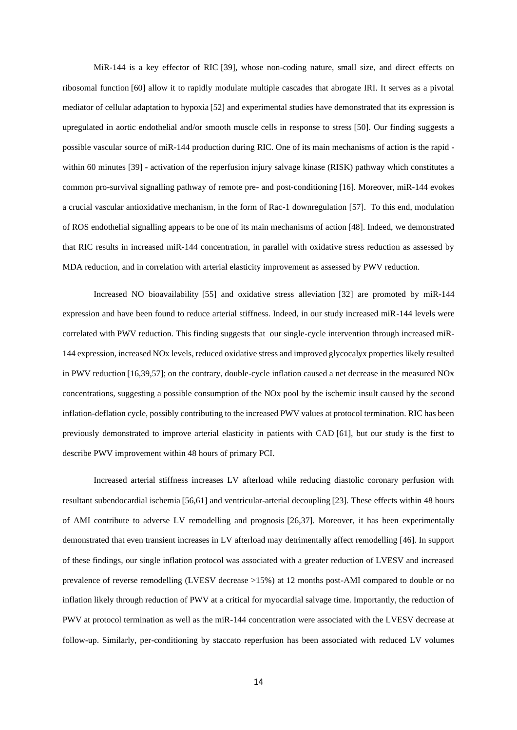MiR-144 is a key effector of RIC [39], whose non-coding nature, small size, and direct effects on ribosomal function [60] allow it to rapidly modulate multiple cascades that abrogate IRI. It serves as a pivotal mediator of cellular adaptation to hypoxia [52] and experimental studies have demonstrated that its expression is upregulated in aortic endothelial and/or smooth muscle cells in response to stress [50]. Our finding suggests a possible vascular source of miR-144 production during RIC. One of its main mechanisms of action is the rapid within 60 minutes [39] - activation of the reperfusion injury salvage kinase (RISK) pathway which constitutes a common pro-survival signalling pathway of remote pre- and post-conditioning [16]. Moreover, miR-144 evokes a crucial vascular antioxidative mechanism, in the form of Rac-1 downregulation [57]. To this end, modulation of ROS endothelial signalling appears to be one of its main mechanisms of action [48]. Indeed, we demonstrated that RIC results in increased miR-144 concentration, in parallel with oxidative stress reduction as assessed by MDA reduction, and in correlation with arterial elasticity improvement as assessed by PWV reduction.

Increased NO bioavailability [55] and oxidative stress alleviation [32] are promoted by miR-144 expression and have been found to reduce arterial stiffness. Indeed, in our study increased miR-144 levels were correlated with PWV reduction. This finding suggests that our single-cycle intervention through increased miR-144 expression, increased NOx levels, reduced oxidative stress and improved glycocalyx properties likely resulted in PWV reduction [16,39,57]; on the contrary, double-cycle inflation caused a net decrease in the measured NOx concentrations, suggesting a possible consumption of the NOx pool by the ischemic insult caused by the second inflation-deflation cycle, possibly contributing to the increased PWV values at protocol termination. RIC has been previously demonstrated to improve arterial elasticity in patients with CAD [61], but our study is the first to describe PWV improvement within 48 hours of primary PCI.

Increased arterial stiffness increases LV afterload while reducing diastolic coronary perfusion with resultant subendocardial ischemia [56,61] and ventricular-arterial decoupling [23]. These effects within 48 hours of AMI contribute to adverse LV remodelling and prognosis [26,37]. Moreover, it has been experimentally demonstrated that even transient increases in LV afterload may detrimentally affect remodelling [46]. In support of these findings, our single inflation protocol was associated with a greater reduction of LVESV and increased prevalence of reverse remodelling (LVESV decrease >15%) at 12 months post-AMI compared to double or no inflation likely through reduction of PWV at a critical for myocardial salvage time. Importantly, the reduction of PWV at protocol termination as well as the miR-144 concentration were associated with the LVESV decrease at follow-up. Similarly, per-conditioning by staccato reperfusion has been associated with reduced LV volumes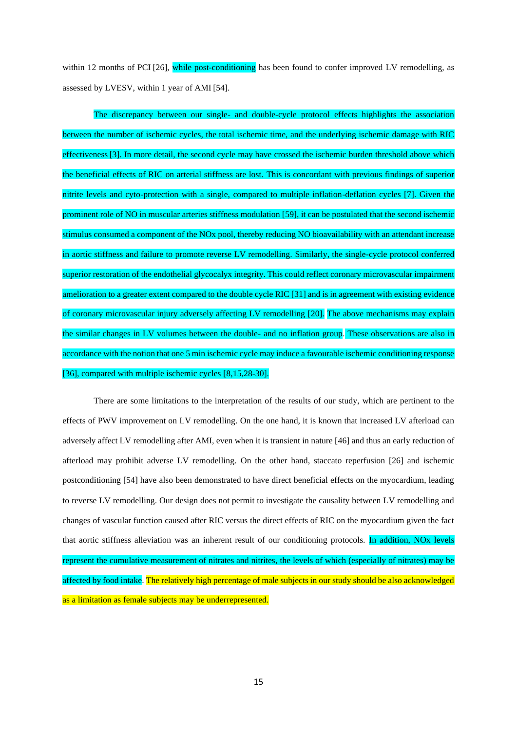within 12 months of PCI [26], while post-conditioning has been found to confer improved LV remodelling, as assessed by LVESV, within 1 year of AMI [54].

The discrepancy between our single- and double-cycle protocol effects highlights the association between the number of ischemic cycles, the total ischemic time, and the underlying ischemic damage with RIC effectiveness[3]. In more detail, the second cycle may have crossed the ischemic burden threshold above which the beneficial effects of RIC on arterial stiffness are lost. This is concordant with previous findings of superior nitrite levels and cyto-protection with a single, compared to multiple inflation-deflation cycles [7]. Given the prominent role of NO in muscular arteries stiffness modulation [59], it can be postulated that the second ischemic stimulus consumed a component of the NOx pool, thereby reducing NO bioavailability with an attendant increase in aortic stiffness and failure to promote reverse LV remodelling. Similarly, the single-cycle protocol conferred superior restoration of the endothelial glycocalyx integrity. This could reflect coronary microvascular impairment amelioration to a greater extent compared to the double cycle RIC [31] and is in agreement with existing evidence of coronary microvascular injury adversely affecting LV remodelling [20]. The above mechanisms may explain the similar changes in LV volumes between the double- and no inflation group. These observations are also in accordance with the notion that one 5 min ischemic cycle may induce a favourable ischemic conditioning response [36], compared with multiple ischemic cycles [8,15,28-30].

There are some limitations to the interpretation of the results of our study, which are pertinent to the effects of PWV improvement on LV remodelling. On the one hand, it is known that increased LV afterload can adversely affect LV remodelling after AMI, even when it is transient in nature [46] and thus an early reduction of afterload may prohibit adverse LV remodelling. On the other hand, staccato reperfusion [26] and ischemic postconditioning [54] have also been demonstrated to have direct beneficial effects on the myocardium, leading to reverse LV remodelling. Our design does not permit to investigate the causality between LV remodelling and changes of vascular function caused after RIC versus the direct effects of RIC on the myocardium given the fact that aortic stiffness alleviation was an inherent result of our conditioning protocols. In addition, NOx levels represent the cumulative measurement of nitrates and nitrites, the levels of which (especially of nitrates) may be affected by food intake. The relatively high percentage of male subjects in our study should be also acknowledged as a limitation as female subjects may be underrepresented.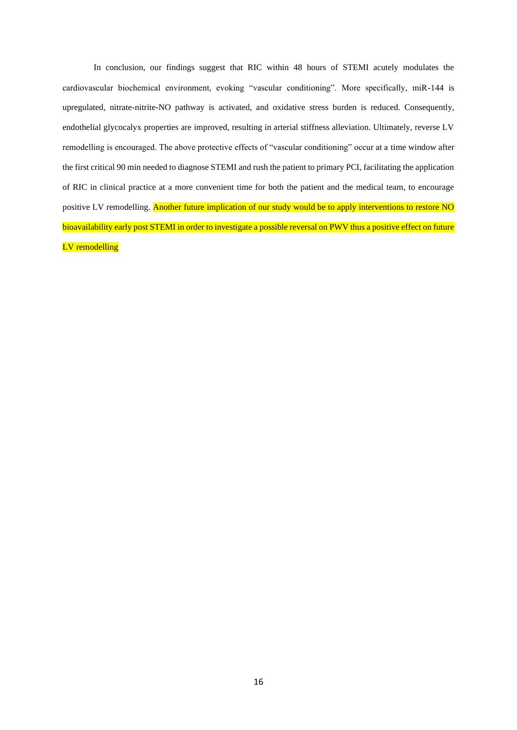In conclusion, our findings suggest that RIC within 48 hours of STEMI acutely modulates the cardiovascular biochemical environment, evoking "vascular conditioning". More specifically, miR-144 is upregulated, nitrate-nitrite-NO pathway is activated, and oxidative stress burden is reduced. Consequently, endothelial glycocalyx properties are improved, resulting in arterial stiffness alleviation. Ultimately, reverse LV remodelling is encouraged. The above protective effects of "vascular conditioning" occur at a time window after the first critical 90 min needed to diagnose STEMI and rush the patient to primary PCI, facilitating the application of RIC in clinical practice at a more convenient time for both the patient and the medical team, to encourage positive LV remodelling. Another future implication of our study would be to apply interventions to restore NO bioavailability early post STEMI in order to investigate a possible reversal on PWV thus a positive effect on future LV remodelling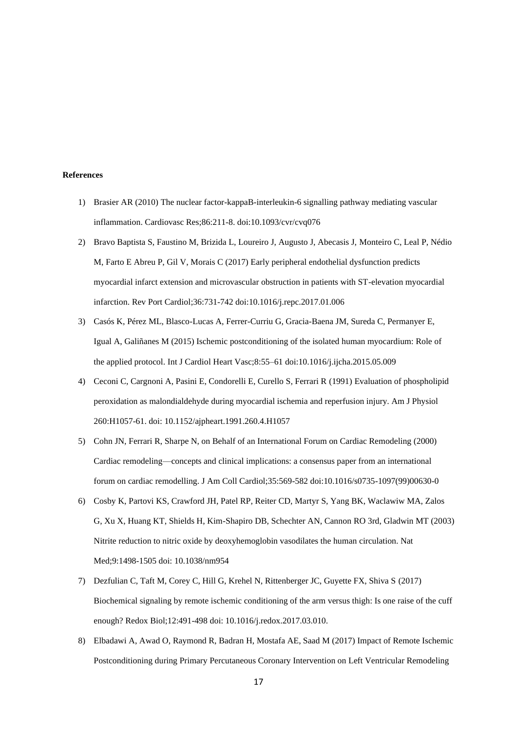## **References**

- 1) Brasier AR (2010) The nuclear factor-kappaB-interleukin-6 signalling pathway mediating vascular inflammation. Cardiovasc Res;86:211-8. doi:10.1093/cvr/cvq076
- 2) Bravo Baptista S, Faustino M, Brizida L, Loureiro J, Augusto J, Abecasis J, Monteiro C, Leal P, Nédio M, Farto E Abreu P, Gil V, Morais C (2017) Early peripheral endothelial dysfunction predicts myocardial infarct extension and microvascular obstruction in patients with ST-elevation myocardial infarction. Rev Port Cardiol;36:731-742 doi:10.1016/j.repc.2017.01.006
- 3) Casós K, Pérez ML, Blasco-Lucas A, Ferrer-Curriu G, Gracia-Baena JM, Sureda C, Permanyer E, Igual A, Galiñanes M (2015) Ischemic postconditioning of the isolated human myocardium: Role of the applied protocol. Int J Cardiol Heart Vasc;8:55–61 doi:10.1016/j.ijcha.2015.05.009
- 4) Ceconi C, Cargnoni A, Pasini E, Condorelli E, Curello S, Ferrari R (1991) Evaluation of phospholipid peroxidation as malondialdehyde during myocardial ischemia and reperfusion injury. Am J Physiol 260:H1057-61. doi: 10.1152/ajpheart.1991.260.4.H1057
- 5) Cohn JN, Ferrari R, Sharpe N, on Behalf of an International Forum on Cardiac Remodeling (2000) Cardiac remodeling—concepts and clinical implications: a consensus paper from an international forum on cardiac remodelling. J Am Coll Cardiol;35:569-582 doi:10.1016/s0735-1097(99)00630-0
- 6) Cosby K, Partovi KS, Crawford JH, Patel RP, Reiter CD, Martyr S, Yang BK, Waclawiw MA, Zalos G, Xu X, Huang KT, Shields H, Kim-Shapiro DB, Schechter AN, Cannon RO 3rd, Gladwin MT (2003) Nitrite reduction to nitric oxide by deoxyhemoglobin vasodilates the human circulation. Nat Med;9:1498-1505 doi: 10.1038/nm954
- 7) Dezfulian C, Taft M, Corey C, Hill G, Krehel N, Rittenberger JC, Guyette FX, Shiva S (2017) Biochemical signaling by remote ischemic conditioning of the arm versus thigh: Is one raise of the cuff enough? Redox Biol;12:491-498 doi: 10.1016/j.redox.2017.03.010.
- 8) Elbadawi A, Awad O, Raymond R, Badran H, Mostafa AE, Saad M (2017) Impact of Remote Ischemic Postconditioning during Primary Percutaneous Coronary Intervention on Left Ventricular Remodeling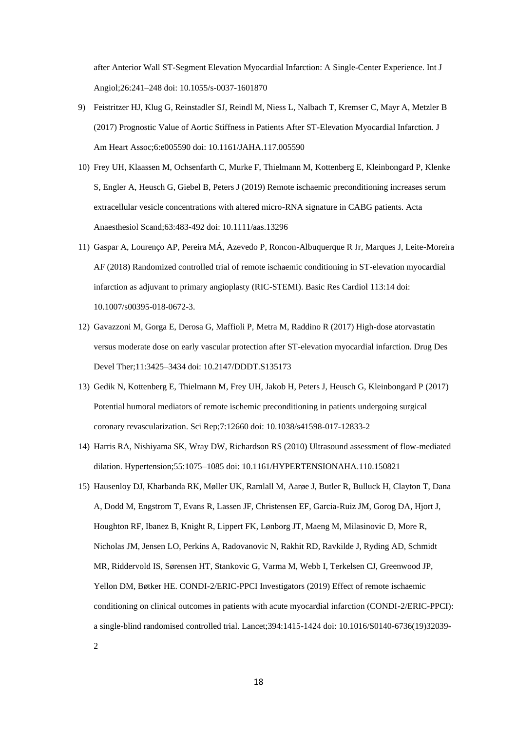after Anterior Wall ST-Segment Elevation Myocardial Infarction: A Single-Center Experience. Int J Angiol;26:241–248 doi: 10.1055/s-0037-1601870

- 9) Feistritzer HJ, Klug G, Reinstadler SJ, Reindl M, Niess L, Nalbach T, Kremser C, Mayr A, Metzler B (2017) Prognostic Value of Aortic Stiffness in Patients After ST-Elevation Myocardial Infarction. J Am Heart Assoc;6:e005590 doi: 10.1161/JAHA.117.005590
- 10) Frey UH, Klaassen M, Ochsenfarth C, Murke F, Thielmann M, Kottenberg E, Kleinbongard P, Klenke S, Engler A, Heusch G, Giebel B, Peters J (2019) Remote ischaemic preconditioning increases serum extracellular vesicle concentrations with altered micro-RNA signature in CABG patients. Acta Anaesthesiol Scand;63:483-492 doi: 10.1111/aas.13296
- 11) Gaspar A, Lourenço AP, Pereira MÁ, Azevedo P, Roncon-Albuquerque R Jr, Marques J, Leite-Moreira AF (2018) Randomized controlled trial of remote ischaemic conditioning in ST-elevation myocardial infarction as adjuvant to primary angioplasty (RIC-STEMI). Basic Res Cardiol 113:14 doi: 10.1007/s00395-018-0672-3.
- 12) Gavazzoni M, Gorga E, Derosa G, Maffioli P, Metra M, Raddino R (2017) High-dose atorvastatin versus moderate dose on early vascular protection after ST-elevation myocardial infarction. Drug Des Devel Ther;11:3425–3434 doi: 10.2147/DDDT.S135173
- 13) Gedik N, Kottenberg E, Thielmann M, Frey UH, Jakob H, Peters J, Heusch G, Kleinbongard P (2017) Potential humoral mediators of remote ischemic preconditioning in patients undergoing surgical coronary revascularization. Sci Rep;7:12660 doi: 10.1038/s41598-017-12833-2
- 14) Harris RA, Nishiyama SK, Wray DW, Richardson RS (2010) Ultrasound assessment of flow-mediated dilation. Hypertension;55:1075–1085 doi: 10.1161/HYPERTENSIONAHA.110.150821
- 15) Hausenloy DJ, Kharbanda RK, Møller UK, Ramlall M, Aarøe J, Butler R, Bulluck H, Clayton T, Dana A, Dodd M, Engstrom T, Evans R, Lassen JF, Christensen EF, Garcia-Ruiz JM, Gorog DA, Hjort J, Houghton RF, Ibanez B, Knight R, Lippert FK, Lønborg JT, Maeng M, Milasinovic D, More R, Nicholas JM, Jensen LO, Perkins A, Radovanovic N, Rakhit RD, Ravkilde J, Ryding AD, Schmidt MR, Riddervold IS, Sørensen HT, Stankovic G, Varma M, Webb I, Terkelsen CJ, Greenwood JP, Yellon DM, Bøtker HE. CONDI-2/ERIC-PPCI Investigators (2019) Effect of remote ischaemic conditioning on clinical outcomes in patients with acute myocardial infarction (CONDI-2/ERIC-PPCI): a single-blind randomised controlled trial. Lancet;394:1415-1424 doi: 10.1016/S0140-6736(19)32039-

2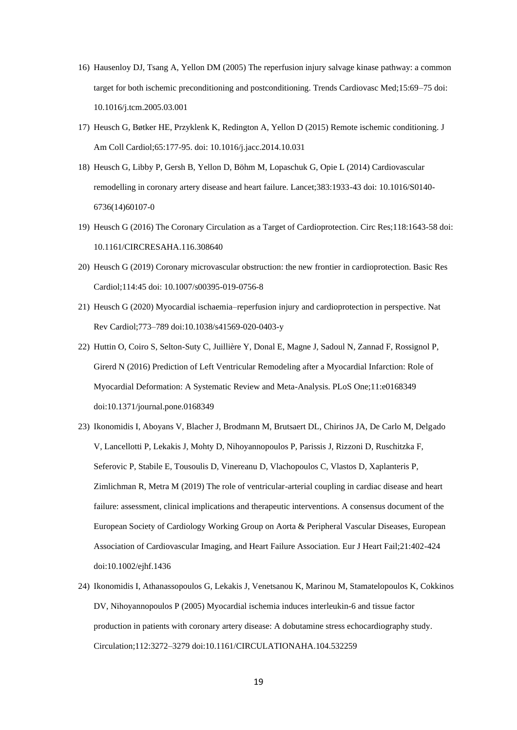- 16) Hausenloy DJ, Tsang A, Yellon DM (2005) The reperfusion injury salvage kinase pathway: a common target for both ischemic preconditioning and postconditioning. Trends Cardiovasc Med;15:69–75 doi: 10.1016/j.tcm.2005.03.001
- 17) Heusch G, Bøtker HE, Przyklenk K, Redington A, Yellon D (2015) Remote ischemic conditioning. J Am Coll Cardiol;65:177-95. doi: 10.1016/j.jacc.2014.10.031
- 18) Heusch G, Libby P, Gersh B, Yellon D, Böhm M, Lopaschuk G, Opie L (2014) Cardiovascular remodelling in coronary artery disease and heart failure. Lancet;383:1933-43 doi: 10.1016/S0140- 6736(14)60107-0
- 19) Heusch G (2016) The Coronary Circulation as a Target of Cardioprotection. Circ Res;118:1643-58 doi: 10.1161/CIRCRESAHA.116.308640
- 20) Heusch G (2019) Coronary microvascular obstruction: the new frontier in cardioprotection. Basic Res Cardiol;114:45 doi: 10.1007/s00395-019-0756-8
- 21) Heusch G (2020) Myocardial ischaemia–reperfusion injury and cardioprotection in perspective. Nat Rev Cardiol;773–789 doi:10.1038/s41569-020-0403-y
- 22) Huttin O, Coiro S, Selton-Suty C, Juillière Y, Donal E, Magne J, Sadoul N, Zannad F, Rossignol P, Girerd N (2016) Prediction of Left Ventricular Remodeling after a Myocardial Infarction: Role of Myocardial Deformation: A Systematic Review and Meta-Analysis. PLoS One;11:e0168349 doi:10.1371/journal.pone.0168349
- 23) Ikonomidis I, Aboyans V, Blacher J, Brodmann M, Brutsaert DL, Chirinos JA, De Carlo M, Delgado V, Lancellotti P, Lekakis J, Mohty D, Nihoyannopoulos P, Parissis J, Rizzoni D, Ruschitzka F, Seferovic P, Stabile E, Tousoulis D, Vinereanu D, Vlachopoulos C, Vlastos D, Xaplanteris P, Zimlichman R, Metra M (2019) The role of ventricular-arterial coupling in cardiac disease and heart failure: assessment, clinical implications and therapeutic interventions. A consensus document of the European Society of Cardiology Working Group on Aorta & Peripheral Vascular Diseases, European Association of Cardiovascular Imaging, and Heart Failure Association. Eur J Heart Fail;21:402-424 doi:10.1002/ejhf.1436
- 24) Ikonomidis I, Athanassopoulos G, Lekakis J, Venetsanou K, Marinou M, Stamatelopoulos K, Cokkinos DV, Nihoyannopoulos P (2005) Myocardial ischemia induces interleukin-6 and tissue factor production in patients with coronary artery disease: A dobutamine stress echocardiography study. Circulation;112:3272–3279 doi:10.1161/CIRCULATIONAHA.104.532259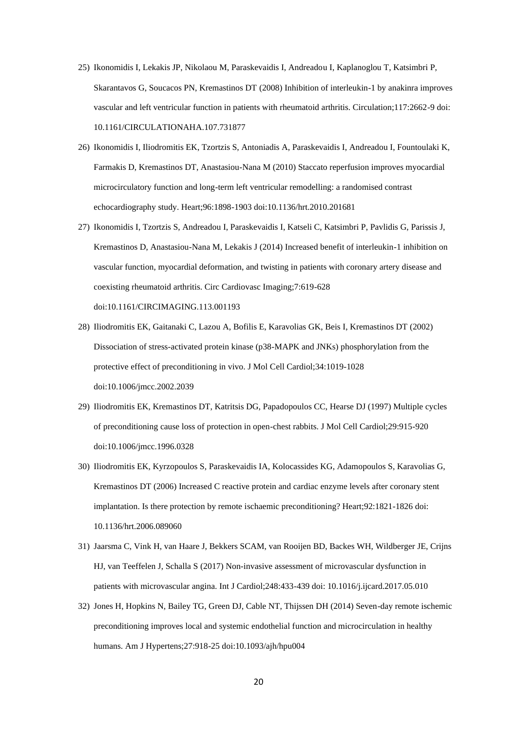- 25) Ikonomidis I, Lekakis JP, Nikolaou M, Paraskevaidis I, Andreadou I, Kaplanoglou T, Katsimbri P, Skarantavos G, Soucacos PN, Kremastinos DT (2008) Inhibition of interleukin-1 by anakinra improves vascular and left ventricular function in patients with rheumatoid arthritis. Circulation;117:2662-9 doi: 10.1161/CIRCULATIONAHA.107.731877
- 26) Ikonomidis I, Iliodromitis EK, Tzortzis S, Antoniadis A, Paraskevaidis I, Andreadou I, Fountoulaki K, Farmakis D, Kremastinos DT, Anastasiou-Nana M (2010) Staccato reperfusion improves myocardial microcirculatory function and long-term left ventricular remodelling: a randomised contrast echocardiography study. Heart;96:1898-1903 doi:10.1136/hrt.2010.201681
- 27) Ikonomidis I, Tzortzis S, Andreadou I, Paraskevaidis I, Katseli C, Katsimbri P, Pavlidis G, Parissis J, Kremastinos D, Anastasiou-Nana M, Lekakis J (2014) Increased benefit of interleukin-1 inhibition on vascular function, myocardial deformation, and twisting in patients with coronary artery disease and coexisting rheumatoid arthritis. Circ Cardiovasc Imaging;7:619-628 doi:10.1161/CIRCIMAGING.113.001193
- 28) Iliodromitis EK, Gaitanaki C, Lazou A, Bofilis E, Karavolias GK, Beis I, Kremastinos DT (2002) Dissociation of stress-activated protein kinase (p38-MAPK and JNKs) phosphorylation from the protective effect of preconditioning in vivo. J Mol Cell Cardiol;34:1019-1028 doi:10.1006/jmcc.2002.2039
- 29) Iliodromitis EK, Kremastinos DT, Katritsis DG, Papadopoulos CC, Hearse DJ (1997) Multiple cycles of preconditioning cause loss of protection in open-chest rabbits. J Mol Cell Cardiol;29:915-920 doi:10.1006/jmcc.1996.0328
- 30) Iliodromitis EK, Kyrzopoulos S, Paraskevaidis IA, Kolocassides KG, Adamopoulos S, Karavolias G, Kremastinos DT (2006) Increased C reactive protein and cardiac enzyme levels after coronary stent implantation. Is there protection by remote ischaemic preconditioning? Heart;92:1821-1826 doi: 10.1136/hrt.2006.089060
- 31) Jaarsma C, Vink H, van Haare J, Bekkers SCAM, van Rooijen BD, Backes WH, Wildberger JE, Crijns HJ, van Teeffelen J, Schalla S (2017) Non-invasive assessment of microvascular dysfunction in patients with microvascular angina. Int J Cardiol;248:433-439 doi: 10.1016/j.ijcard.2017.05.010
- 32) Jones H, Hopkins N, Bailey TG, Green DJ, Cable NT, Thijssen DH (2014) Seven-day remote ischemic preconditioning improves local and systemic endothelial function and microcirculation in healthy humans. Am J Hypertens;27:918-25 doi:10.1093/ajh/hpu004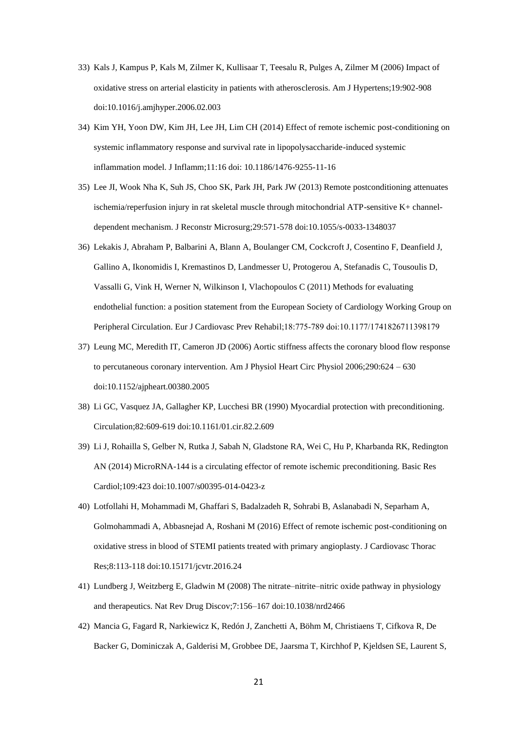- 33) Kals J, Kampus P, Kals M, Zilmer K, Kullisaar T, Teesalu R, Pulges A, Zilmer M (2006) Impact of oxidative stress on arterial elasticity in patients with atherosclerosis. Am J Hypertens;19:902-908 doi:10.1016/j.amjhyper.2006.02.003
- 34) Kim YH, Yoon DW, Kim JH, Lee JH, Lim CH (2014) Effect of remote ischemic post-conditioning on systemic inflammatory response and survival rate in lipopolysaccharide-induced systemic inflammation model. J Inflamm;11:16 doi: 10.1186/1476-9255-11-16
- 35) Lee JI, Wook Nha K, Suh JS, Choo SK, Park JH, Park JW (2013) Remote postconditioning attenuates ischemia/reperfusion injury in rat skeletal muscle through mitochondrial ATP-sensitive K+ channeldependent mechanism. J Reconstr Microsurg;29:571-578 doi:10.1055/s-0033-1348037
- 36) Lekakis J, Abraham P, Balbarini A, Blann A, Boulanger CM, Cockcroft J, Cosentino F, Deanfield J, Gallino A, Ikonomidis I, Kremastinos D, Landmesser U, Protogerou A, Stefanadis C, Tousoulis D, Vassalli G, Vink H, Werner N, Wilkinson I, Vlachopoulos C (2011) Methods for evaluating endothelial function: a position statement from the European Society of Cardiology Working Group on Peripheral Circulation. Eur J Cardiovasc Prev Rehabil;18:775‐789 doi:10.1177/1741826711398179
- 37) Leung MC, Meredith IT, Cameron JD (2006) Aortic stiffness affects the coronary blood flow response to percutaneous coronary intervention. Am J Physiol Heart Circ Physiol 2006;290:624 – 630 doi:10.1152/ajpheart.00380.2005
- 38) Li GC, Vasquez JA, Gallagher KP, Lucchesi BR (1990) Myocardial protection with preconditioning. Circulation;82:609-619 doi:10.1161/01.cir.82.2.609
- 39) Li J, Rohailla S, Gelber N, Rutka J, Sabah N, Gladstone RA, Wei C, Hu P, Kharbanda RK, Redington AN (2014) MicroRNA-144 is a circulating effector of remote ischemic preconditioning. Basic Res Cardiol;109:423 doi:10.1007/s00395-014-0423-z
- 40) Lotfollahi H, Mohammadi M, Ghaffari S, Badalzadeh R, Sohrabi B, Aslanabadi N, Separham A, Golmohammadi A, Abbasnejad A, Roshani M (2016) Effect of remote ischemic post-conditioning on oxidative stress in blood of STEMI patients treated with primary angioplasty. J Cardiovasc Thorac Res;8:113-118 doi:10.15171/jcvtr.2016.24
- 41) Lundberg J, Weitzberg E, Gladwin M (2008) The nitrate–nitrite–nitric oxide pathway in physiology and therapeutics. Nat Rev Drug Discov;7:156–167 doi:10.1038/nrd2466
- 42) Mancia G, Fagard R, Narkiewicz K, Redón J, Zanchetti A, Böhm M, Christiaens T, Cifkova R, De Backer G, Dominiczak A, Galderisi M, Grobbee DE, Jaarsma T, Kirchhof P, Kjeldsen SE, Laurent S,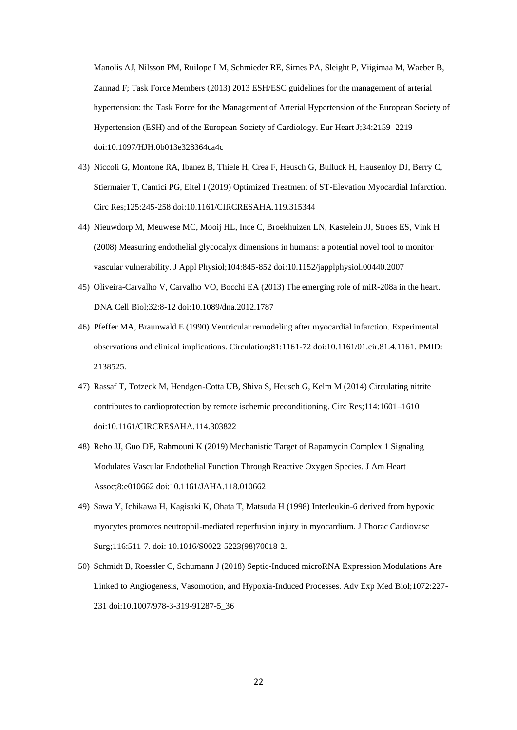Manolis AJ, Nilsson PM, Ruilope LM, Schmieder RE, Sirnes PA, Sleight P, Viigimaa M, Waeber B, Zannad F; Task Force Members (2013) 2013 ESH/ESC guidelines for the management of arterial hypertension: the Task Force for the Management of Arterial Hypertension of the European Society of Hypertension (ESH) and of the European Society of Cardiology. Eur Heart J;34:2159–2219 doi:10.1097/HJH.0b013e328364ca4c

- 43) Niccoli G, Montone RA, Ibanez B, Thiele H, Crea F, Heusch G, Bulluck H, Hausenloy DJ, Berry C, Stiermaier T, Camici PG, Eitel I (2019) Optimized Treatment of ST-Elevation Myocardial Infarction. Circ Res;125:245-258 doi:10.1161/CIRCRESAHA.119.315344
- 44) Nieuwdorp M, Meuwese MC, Mooij HL, Ince C, Broekhuizen LN, Kastelein JJ, Stroes ES, Vink H (2008) Measuring endothelial glycocalyx dimensions in humans: a potential novel tool to monitor vascular vulnerability. J Appl Physiol;104:845-852 doi:10.1152/japplphysiol.00440.2007
- 45) Oliveira-Carvalho V, Carvalho VO, Bocchi EA (2013) The emerging role of miR-208a in the heart. DNA Cell Biol;32:8-12 doi:10.1089/dna.2012.1787
- 46) Pfeffer MA, Braunwald E (1990) Ventricular remodeling after myocardial infarction. Experimental observations and clinical implications. Circulation;81:1161-72 doi:10.1161/01.cir.81.4.1161. PMID: 2138525.
- 47) Rassaf T, Totzeck M, Hendgen-Cotta UB, Shiva S, Heusch G, Kelm M (2014) Circulating nitrite contributes to cardioprotection by remote ischemic preconditioning. Circ Res;114:1601–1610 doi:10.1161/CIRCRESAHA.114.303822
- 48) Reho JJ, Guo DF, Rahmouni K (2019) Mechanistic Target of Rapamycin Complex 1 Signaling Modulates Vascular Endothelial Function Through Reactive Oxygen Species. J Am Heart Assoc;8:e010662 doi:10.1161/JAHA.118.010662
- 49) Sawa Y, Ichikawa H, Kagisaki K, Ohata T, Matsuda H (1998) Interleukin-6 derived from hypoxic myocytes promotes neutrophil-mediated reperfusion injury in myocardium. J Thorac Cardiovasc Surg;116:511-7. doi: 10.1016/S0022-5223(98)70018-2.
- 50) Schmidt B, Roessler C, Schumann J (2018) Septic-Induced microRNA Expression Modulations Are Linked to Angiogenesis, Vasomotion, and Hypoxia-Induced Processes. Adv Exp Med Biol;1072:227- 231 doi:10.1007/978-3-319-91287-5\_36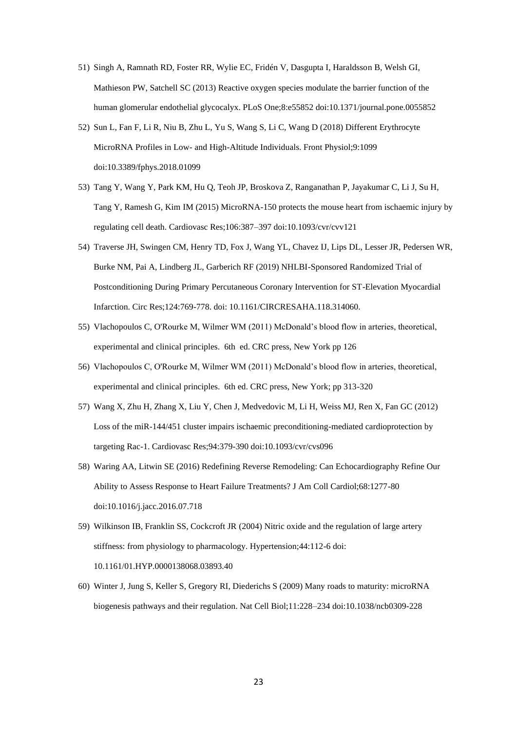- 51) Singh A, Ramnath RD, Foster RR, Wylie EC, Fridén V, Dasgupta I, Haraldsson B, Welsh GI, Mathieson PW, Satchell SC (2013) Reactive oxygen species modulate the barrier function of the human glomerular endothelial glycocalyx. PLoS One;8:e55852 doi:10.1371/journal.pone.0055852
- 52) Sun L, Fan F, Li R, Niu B, Zhu L, Yu S, Wang S, Li C, Wang D (2018) Different Erythrocyte MicroRNA Profiles in Low- and High-Altitude Individuals. Front Physiol;9:1099 doi:10.3389/fphys.2018.01099
- 53) Tang Y, Wang Y, Park KM, Hu Q, Teoh JP, Broskova Z, Ranganathan P, Jayakumar C, Li J, Su H, Tang Y, Ramesh G, Kim IM (2015) MicroRNA-150 protects the mouse heart from ischaemic injury by regulating cell death. Cardiovasc Res;106:387–397 doi:10.1093/cvr/cvv121
- 54) Traverse JH, Swingen CM, Henry TD, Fox J, Wang YL, Chavez IJ, Lips DL, Lesser JR, Pedersen WR, Burke NM, Pai A, Lindberg JL, Garberich RF (2019) NHLBI-Sponsored Randomized Trial of Postconditioning During Primary Percutaneous Coronary Intervention for ST-Elevation Myocardial Infarction. Circ Res;124:769-778. doi: 10.1161/CIRCRESAHA.118.314060.
- 55) Vlachopoulos C, O'Rourke M, Wilmer WM (2011) McDonald's blood flow in arteries, theoretical, experimental and clinical principles. 6th ed. CRC press, New York pp 126
- 56) Vlachopoulos C, O'Rourke M, Wilmer WM (2011) McDonald's blood flow in arteries, theoretical, experimental and clinical principles. 6th ed. CRC press, New York; pp 313-320
- 57) Wang X, Zhu H, Zhang X, Liu Y, Chen J, Medvedovic M, Li H, Weiss MJ, Ren X, Fan GC (2012) Loss of the miR-144/451 cluster impairs ischaemic preconditioning-mediated cardioprotection by targeting Rac-1. Cardiovasc Res;94:379-390 doi:10.1093/cvr/cvs096
- 58) Waring AA, Litwin SE (2016) Redefining Reverse Remodeling: Can Echocardiography Refine Our Ability to Assess Response to Heart Failure Treatments? J Am Coll Cardiol;68:1277-80 doi:10.1016/j.jacc.2016.07.718
- 59) Wilkinson IB, Franklin SS, Cockcroft JR (2004) Nitric oxide and the regulation of large artery stiffness: from physiology to pharmacology. Hypertension;44:112-6 doi: 10.1161/01.HYP.0000138068.03893.40
- 60) Winter J, Jung S, Keller S, Gregory RI, Diederichs S (2009) Many roads to maturity: microRNA biogenesis pathways and their regulation. Nat Cell Biol;11:228–234 doi:10.1038/ncb0309-228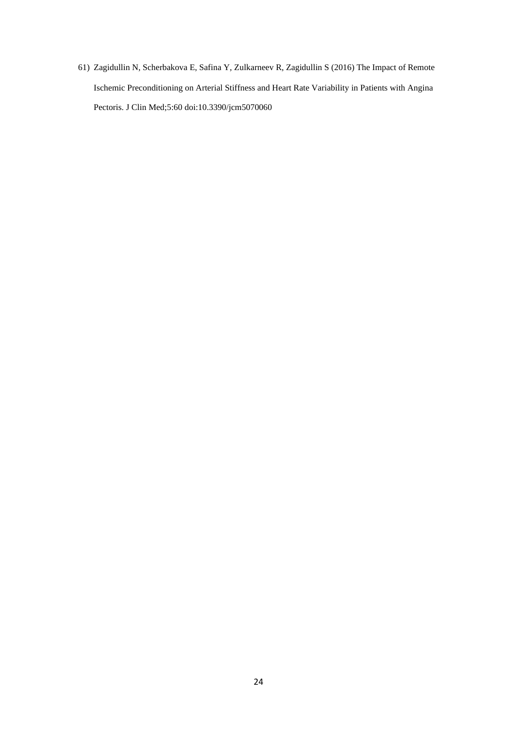61) Zagidullin N, Scherbakova E, Safina Y, Zulkarneev R, Zagidullin S (2016) The Impact of Remote Ischemic Preconditioning on Arterial Stiffness and Heart Rate Variability in Patients with Angina Pectoris. J Clin Med;5:60 doi:10.3390/jcm5070060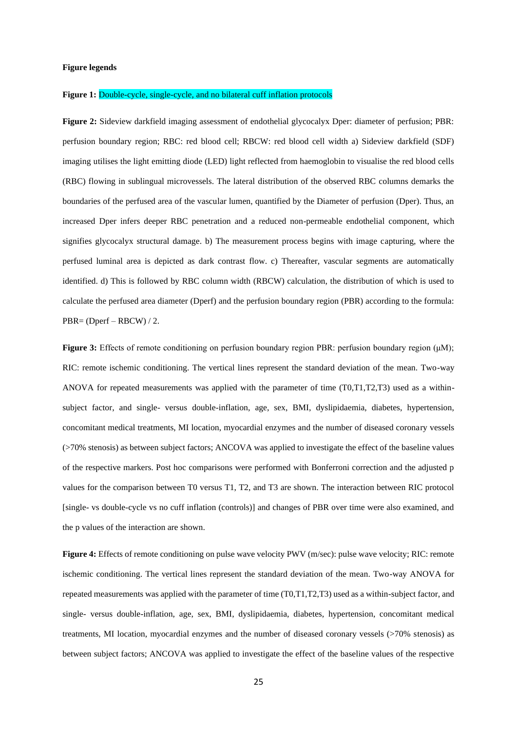#### **Figure legends**

### **Figure 1:** Double-cycle, single-cycle, and no bilateral cuff inflation protocols

**Figure 2:** Sideview darkfield imaging assessment of endothelial glycocalyx Dper: diameter of perfusion: PBR: perfusion boundary region; RBC: red blood cell; RBCW: red blood cell width a) Sideview darkfield (SDF) imaging utilises the light emitting diode (LED) light reflected from haemoglobin to visualise the red blood cells (RBC) flowing in sublingual microvessels. The lateral distribution of the observed RBC columns demarks the boundaries of the perfused area of the vascular lumen, quantified by the Diameter of perfusion (Dper). Thus, an increased Dper infers deeper RBC penetration and a reduced non-permeable endothelial component, which signifies glycocalyx structural damage. b) The measurement process begins with image capturing, where the perfused luminal area is depicted as dark contrast flow. c) Thereafter, vascular segments are automatically identified. d) This is followed by RBC column width (RBCW) calculation, the distribution of which is used to calculate the perfused area diameter (Dperf) and the perfusion boundary region (PBR) according to the formula: PBR= (Dperf – RBCW) / 2.

**Figure 3:** Effects of remote conditioning on perfusion boundary region PBR: perfusion boundary region (μM); RIC: remote ischemic conditioning. The vertical lines represent the standard deviation of the mean. Two-way ANOVA for repeated measurements was applied with the parameter of time (T0,T1,T2,T3) used as a withinsubject factor, and single- versus double-inflation, age, sex, BMI, dyslipidaemia, diabetes, hypertension, concomitant medical treatments, MI location, myocardial enzymes and the number of diseased coronary vessels (>70% stenosis) as between subject factors; ANCOVA was applied to investigate the effect of the baseline values of the respective markers. Post hoc comparisons were performed with Bonferroni correction and the adjusted p values for the comparison between T0 versus T1, T2, and T3 are shown. The interaction between RIC protocol [single- vs double-cycle vs no cuff inflation (controls)] and changes of PBR over time were also examined, and the p values of the interaction are shown.

**Figure 4:** Effects of remote conditioning on pulse wave velocity PWV (m/sec): pulse wave velocity; RIC: remote ischemic conditioning. The vertical lines represent the standard deviation of the mean. Two-way ANOVA for repeated measurements was applied with the parameter of time (T0,T1,T2,T3) used as a within-subject factor, and single- versus double-inflation, age, sex, BMI, dyslipidaemia, diabetes, hypertension, concomitant medical treatments, MI location, myocardial enzymes and the number of diseased coronary vessels (>70% stenosis) as between subject factors; ANCOVA was applied to investigate the effect of the baseline values of the respective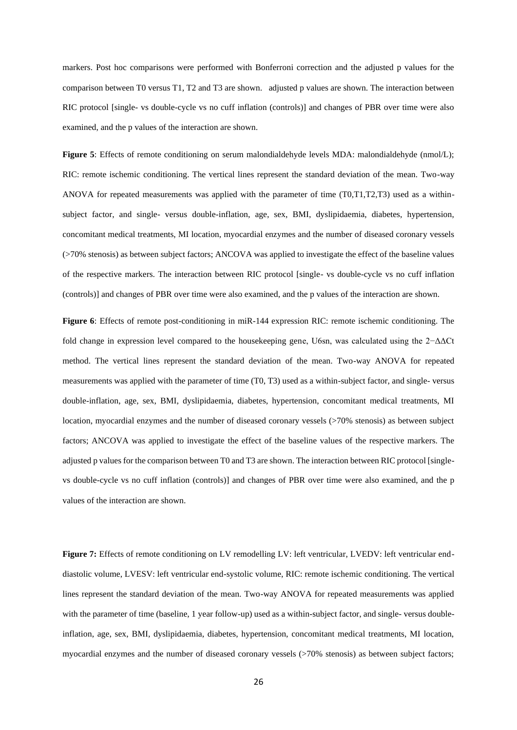markers. Post hoc comparisons were performed with Bonferroni correction and the adjusted p values for the comparison between T0 versus T1, T2 and T3 are shown. adjusted p values are shown. The interaction between RIC protocol [single- vs double-cycle vs no cuff inflation (controls)] and changes of PBR over time were also examined, and the p values of the interaction are shown.

Figure 5: Effects of remote conditioning on serum malondialdehyde levels MDA: malondialdehyde (nmol/L); RIC: remote ischemic conditioning. The vertical lines represent the standard deviation of the mean. Two-way ANOVA for repeated measurements was applied with the parameter of time (T0,T1,T2,T3) used as a withinsubject factor, and single- versus double-inflation, age, sex, BMI, dyslipidaemia, diabetes, hypertension, concomitant medical treatments, MI location, myocardial enzymes and the number of diseased coronary vessels (>70% stenosis) as between subject factors; ANCOVA was applied to investigate the effect of the baseline values of the respective markers. The interaction between RIC protocol [single- vs double-cycle vs no cuff inflation (controls)] and changes of PBR over time were also examined, and the p values of the interaction are shown.

**Figure 6**: Effects of remote post-conditioning in miR-144 expression RIC: remote ischemic conditioning. The fold change in expression level compared to the housekeeping gene, U6sn, was calculated using the 2−ΔΔCt method. The vertical lines represent the standard deviation of the mean. Two-way ANOVA for repeated measurements was applied with the parameter of time (T0, T3) used as a within-subject factor, and single- versus double-inflation, age, sex, BMI, dyslipidaemia, diabetes, hypertension, concomitant medical treatments, MI location, myocardial enzymes and the number of diseased coronary vessels ( $>70\%$  stenosis) as between subject factors; ANCOVA was applied to investigate the effect of the baseline values of the respective markers. The adjusted p values for the comparison between T0 and T3 are shown. The interaction between RIC protocol [singlevs double-cycle vs no cuff inflation (controls)] and changes of PBR over time were also examined, and the p values of the interaction are shown.

Figure 7: Effects of remote conditioning on LV remodelling LV: left ventricular, LVEDV: left ventricular enddiastolic volume, LVESV: left ventricular end-systolic volume, RIC: remote ischemic conditioning. The vertical lines represent the standard deviation of the mean. Two-way ANOVA for repeated measurements was applied with the parameter of time (baseline, 1 year follow-up) used as a within-subject factor, and single- versus doubleinflation, age, sex, BMI, dyslipidaemia, diabetes, hypertension, concomitant medical treatments, MI location, myocardial enzymes and the number of diseased coronary vessels (>70% stenosis) as between subject factors;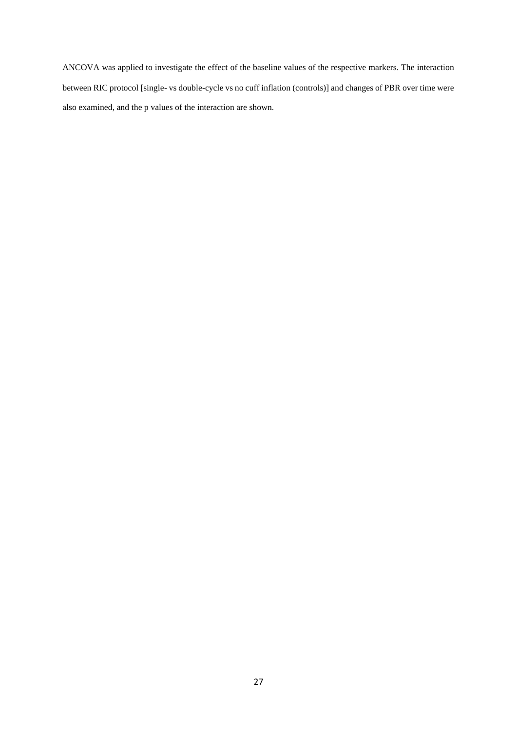ANCOVA was applied to investigate the effect of the baseline values of the respective markers. The interaction between RIC protocol [single- vs double-cycle vs no cuff inflation (controls)] and changes of PBR over time were also examined, and the p values of the interaction are shown.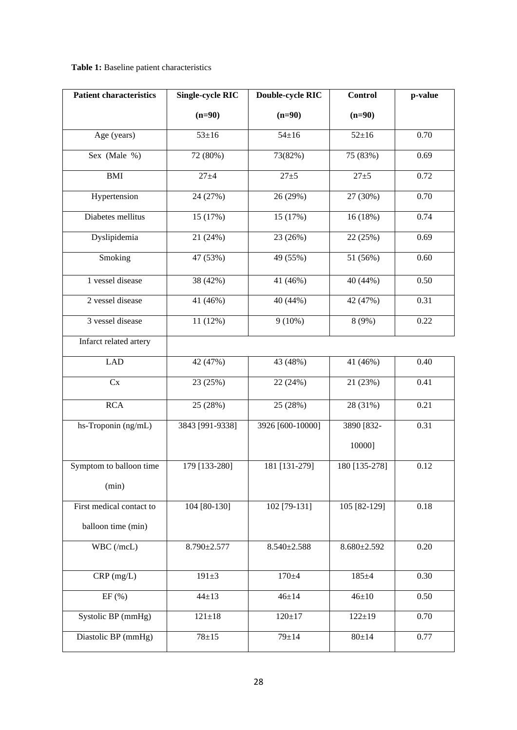# **Table 1:** Baseline patient characteristics

| <b>Patient characteristics</b> | <b>Single-cycle RIC</b> | <b>Double-cycle RIC</b> | <b>Control</b>    | p-value |
|--------------------------------|-------------------------|-------------------------|-------------------|---------|
|                                | $(n=90)$                | $(n=90)$                | $(n=90)$          |         |
| Age (years)                    | $53 + 16$               | $54 \pm 16$             | $52 + 16$         | 0.70    |
| Sex (Male %)                   | 72 (80%)                | 73(82%)                 | 75 (83%)          | 0.69    |
| $\mathop{\rm BMI}\nolimits$    | $27 + 4$                | $27 + 5$                | $27 + 5$          | 0.72    |
| Hypertension                   | 24 (27%)                | 26 (29%)                | 27 (30%)          | 0.70    |
| Diabetes mellitus              | 15 (17%)                | 15 (17%)                | 16 (18%)          | 0.74    |
| Dyslipidemia                   | 21 (24%)                | 23 (26%)                | 22 (25%)          | 0.69    |
| Smoking                        | 47 (53%)                | 49 (55%)                | 51 (56%)          | 0.60    |
| 1 vessel disease               | 38 (42%)                | 41 (46%)                | 40 (44%)          | 0.50    |
| 2 vessel disease               | 41 (46%)                | 40 (44%)                | 42 (47%)          | 0.31    |
| 3 vessel disease               | 11 (12%)                | $9(10\%)$               | 8 (9%)            | 0.22    |
| Infarct related artery         |                         |                         |                   |         |
| <b>LAD</b>                     | 42 (47%)                | 43 (48%)                | 41 (46%)          | 0.40    |
| Cx                             | 23 (25%)                | 22 (24%)                | 21 (23%)          | 0.41    |
| <b>RCA</b>                     | 25 (28%)                | 25 (28%)                | 28 (31%)          | 0.21    |
| hs-Troponin (ng/mL)            | 3843 [991-9338]         | 3926 [600-10000]        | 3890 [832-        | 0.31    |
|                                |                         |                         | 10000]            |         |
| Symptom to balloon time        | 179 [133-280]           | 181 [131-279]           | 180 [135-278]     | 0.12    |
| (min)                          |                         |                         |                   |         |
| First medical contact to       | 104 [80-130]            | 102 [79-131]            | 105 [82-129]      | 0.18    |
| balloon time (min)             |                         |                         |                   |         |
| WBC (/mcL)                     | 8.790±2.577             | $8.540 \pm 2.588$       | $8.680 \pm 2.592$ | 0.20    |
| $CRP$ (mg/L)                   | $191 \pm 3$             | $170 + 4$               | $185 + 4$         | 0.30    |
| EF(%)                          | $44 + 13$               | $46 + 14$               | $46 + 10$         | 0.50    |
| Systolic BP (mmHg)             | $121 \pm 18$            | $120 + 17$              | $122 \pm 19$      | 0.70    |
| Diastolic BP (mmHg)            | $78 + 15$               | $79 + 14$               | $80 + 14$         | 0.77    |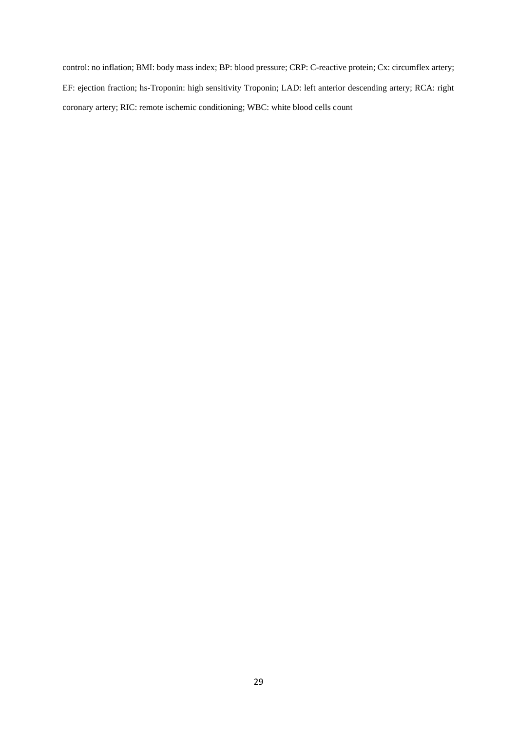control: no inflation; BMI: body mass index; BP: blood pressure; CRP: C-reactive protein; Cx: circumflex artery; EF: ejection fraction; hs-Troponin: high sensitivity Troponin; LAD: left anterior descending artery; RCA: right coronary artery; RIC: remote ischemic conditioning; WBC: white blood cells count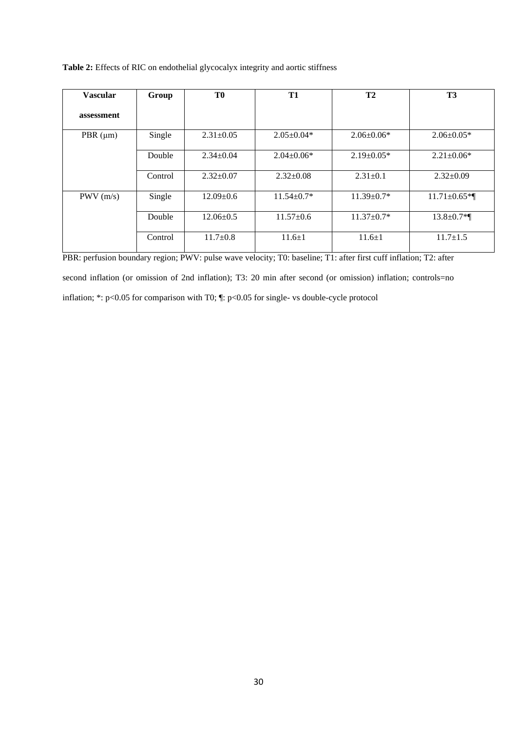| Table 2: Effects of RIC on endothelial glycocalyx integrity and aortic stiffness |  |
|----------------------------------------------------------------------------------|--|
|----------------------------------------------------------------------------------|--|

| <b>Vascular</b> | Group   | T0              | T1               | T <sub>2</sub>   | T <sub>3</sub>     |
|-----------------|---------|-----------------|------------------|------------------|--------------------|
| assessment      |         |                 |                  |                  |                    |
| PBR $(\mu m)$   | Single  | $2.31 \pm 0.05$ | $2.05 \pm 0.04*$ | $2.06 \pm 0.06*$ | $2.06 \pm 0.05*$   |
|                 | Double  | $2.34 \pm 0.04$ | $2.04 \pm 0.06*$ | $2.19 \pm 0.05*$ | $2.21 \pm 0.06*$   |
|                 | Control | $2.32 \pm 0.07$ | $2.32 \pm 0.08$  | $2.31 \pm 0.1$   | $2.32 \pm 0.09$    |
| PWV(m/s)        | Single  | $12.09 \pm 0.6$ | $11.54 \pm 0.7*$ | $11.39 \pm 0.7*$ | $11.71 \pm 0.65$ * |
|                 | Double  | $12.06 \pm 0.5$ | $11.57 \pm 0.6$  | $11.37 \pm 0.7*$ | $13.8 \pm 0.7$ *   |
|                 | Control | $11.7 \pm 0.8$  | $11.6 \pm 1$     | $11.6 \pm 1$     | $11.7 \pm 1.5$     |

PBR: perfusion boundary region; PWV: pulse wave velocity; T0: baseline; T1: after first cuff inflation; T2: after second inflation (or omission of 2nd inflation); T3: 20 min after second (or omission) inflation; controls=no inflation; \*: p<0.05 for comparison with T0; ¶: p<0.05 for single- vs double-cycle protocol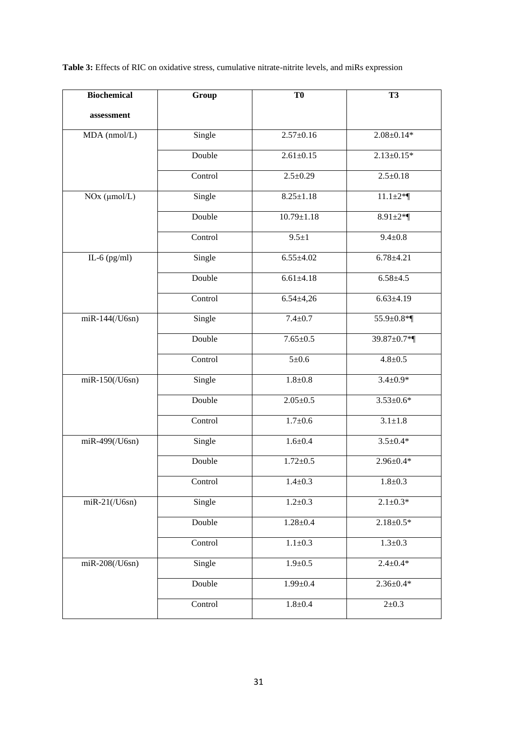**Table 3:** Effects of RIC on oxidative stress, cumulative nitrate-nitrite levels, and miRs expression

| <b>Biochemical</b> | Group   | T <sub>0</sub>   | <b>T3</b>        |
|--------------------|---------|------------------|------------------|
| assessment         |         |                  |                  |
| MDA (nmol/L)       | Single  | $2.57 \pm 0.16$  | $2.08 \pm 0.14*$ |
|                    | Double  | $2.61 \pm 0.15$  | $2.13 \pm 0.15*$ |
|                    | Control | $2.5 \pm 0.29$   | $2.5 \pm 0.18$   |
| NOx (µmol/L)       | Single  | $8.25 \pm 1.18$  | $11.1 \pm 2*$    |
|                    | Double  | $10.79 \pm 1.18$ | 8.91 $\pm 2$ *   |
|                    | Control | $9.5 \pm 1$      | $9.4 \pm 0.8$    |
| IL-6 $(pg/ml)$     | Single  | $6.55 \pm 4.02$  | $6.78 \pm 4.21$  |
|                    | Double  | $6.61 \pm 4.18$  | $6.58 + 4.5$     |
|                    | Control | $6.54 \pm 4.26$  | $6.63{\pm}4.19$  |
| miR-144(/U6sn)     | Single  | $7.4 \pm 0.7$    | 55.9±0.8*¶       |
|                    | Double  | $7.65 \pm 0.5$   | 39.87±0.7*¶      |
|                    | Control | $5 \pm 0.6$      | $4.8 + 0.5$      |
| $miR-150/(U6sn)$   | Single  | $1.8 + 0.8$      | $3.4 \pm 0.9*$   |
|                    | Double  | $2.05 \pm 0.5$   | $3.53 \pm 0.6*$  |
|                    | Control | $1.7 + 0.6$      | $3.1 \pm 1.8$    |
| miR-499(/U6sn)     | Single  | $1.6 + 0.4$      | $3.5 \pm 0.4*$   |
|                    | Double  | $1.72 \pm 0.5$   | $2.96 \pm 0.4*$  |
|                    | Control | $1.4 \pm 0.3$    | $1.8 + 0.3$      |
| $miR-21/(U6sn)$    | Single  | $1.2 \pm 0.3$    | $2.1 \pm 0.3*$   |
|                    | Double  | $1.28 \pm 0.4$   | $2.18 \pm 0.5*$  |
|                    | Control | $1.1 \pm 0.3$    | $1.3 \pm 0.3$    |
| $m$ iR-208(/U6sn)  | Single  | $1.9 \pm 0.5$    | $2.4 \pm 0.4*$   |
|                    | Double  | $1.99 \pm 0.4$   | $2.36 \pm 0.4*$  |
|                    | Control | $1.8 + 0.4$      | $2 \pm 0.3$      |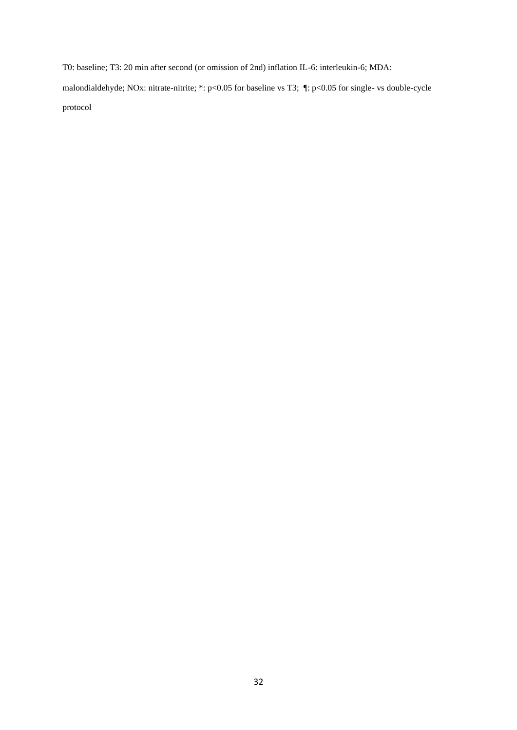T0: baseline; T3: 20 min after second (or omission of 2nd) inflation IL-6: interleukin-6; MDA: malondialdehyde; NOx: nitrate-nitrite; \*: p<0.05 for baseline vs T3; ¶: p<0.05 for single- vs double-cycle protocol